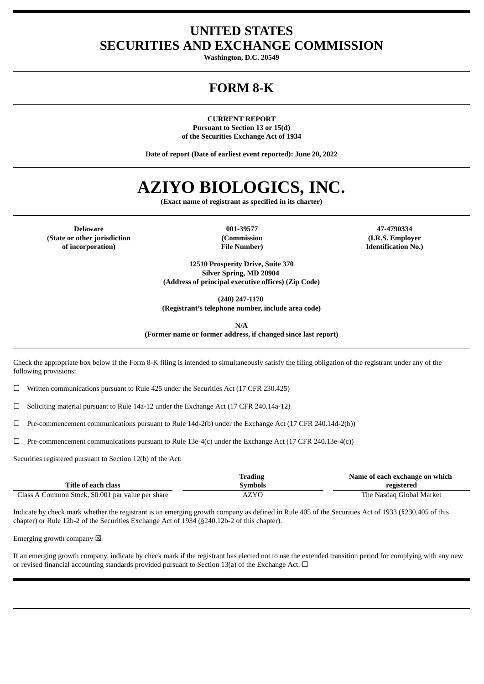# **UNITED STATES SECURITIES AND EXCHANGE COMMISSION**

**Washington, D.C. 20549**

# **FORM 8-K**

**CURRENT REPORT Pursuant to Section 13 or 15(d) of the Securities Exchange Act of 1934**

**Date of report (Date of earliest event reported): June 20, 2022**

# **AZIYO BIOLOGICS, INC.**

**(Exact name of registrant as specified in its charter)**

**Delaware 001-39577 47-4790334 (State or other jurisdiction of incorporation)**

**(Commission File Number)**

**(I.R.S. Employer Identification No.)**

**12510 Prosperity Drive, Suite 370 Silver Spring, MD 20904 (Address of principal executive offices) (Zip Code)**

**(240) 247-1170**

**(Registrant's telephone number, include area code)**

**N/A**

**(Former name or former address, if changed since last report)**

Check the appropriate box below if the Form 8-K filing is intended to simultaneously satisfy the filing obligation of the registrant under any of the following provisions:

☐ Written communications pursuant to Rule 425 under the Securities Act (17 CFR 230.425)

 $\Box$  Soliciting material pursuant to Rule 14a-12 under the Exchange Act (17 CFR 240.14a-12)

 $\Box$  Pre-commencement communications pursuant to Rule 14d-2(b) under the Exchange Act (17 CFR 240.14d-2(b))

 $\Box$  Pre-commencement communications pursuant to Rule 13e-4(c) under the Exchange Act (17 CFR 240.13e-4(c))

Securities registered pursuant to Section 12(b) of the Act:

|                                                   | Trading | Name of each exchange on which |
|---------------------------------------------------|---------|--------------------------------|
| Title of each class                               | Svmbols | registered                     |
| Class A Common Stock, \$0.001 par value per share | AZYO    | The Nasdag Global Market       |

Indicate by check mark whether the registrant is an emerging growth company as defined in Rule 405 of the Securities Act of 1933 (§230.405 of this chapter) or Rule 12b-2 of the Securities Exchange Act of 1934 (§240.12b-2 of this chapter).

Emerging growth company  $\boxtimes$ 

If an emerging growth company, indicate by check mark if the registrant has elected not to use the extended transition period for complying with any new or revised financial accounting standards provided pursuant to Section 13(a) of the Exchange Act.  $\Box$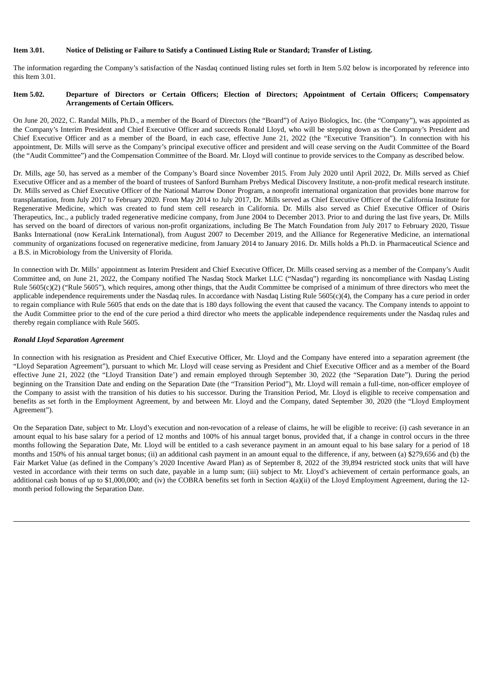# Item 3.01. Notice of Delisting or Failure to Satisfy a Continued Listing Rule or Standard: Transfer of Listing.

The information regarding the Company's satisfaction of the Nasdaq continued listing rules set forth in Item 5.02 below is incorporated by reference into this Item 3.01.

#### Item 5.02. Departure of Directors or Certain Officers; Election of Directors; Appointment of Certain Officers; Compensatory **Arrangements of Certain Officers.**

On June 20, 2022, C. Randal Mills, Ph.D., a member of the Board of Directors (the "Board") of Aziyo Biologics, Inc. (the "Company"), was appointed as the Company's Interim President and Chief Executive Officer and succeeds Ronald Lloyd, who will be stepping down as the Company's President and Chief Executive Officer and as a member of the Board, in each case, effective June 21, 2022 (the "Executive Transition"). In connection with his appointment, Dr. Mills will serve as the Company's principal executive officer and president and will cease serving on the Audit Committee of the Board (the "Audit Committee") and the Compensation Committee of the Board. Mr. Lloyd will continue to provide services to the Company as described below.

Dr. Mills, age 50, has served as a member of the Company's Board since November 2015. From July 2020 until April 2022, Dr. Mills served as Chief Executive Officer and as a member of the board of trustees of Sanford Burnham Prebys Medical Discovery Institute, a non-profit medical research institute. Dr. Mills served as Chief Executive Officer of the National Marrow Donor Program, a nonprofit international organization that provides bone marrow for transplantation, from July 2017 to February 2020. From May 2014 to July 2017, Dr. Mills served as Chief Executive Officer of the California Institute for Regenerative Medicine, which was created to fund stem cell research in California. Dr. Mills also served as Chief Executive Officer of Osiris Therapeutics, Inc., a publicly traded regenerative medicine company, from June 2004 to December 2013. Prior to and during the last five years, Dr. Mills has served on the board of directors of various non-profit organizations, including Be The Match Foundation from July 2017 to February 2020, Tissue Banks International (now KeraLink International), from August 2007 to December 2019, and the Alliance for Regenerative Medicine, an international community of organizations focused on regenerative medicine, from January 2014 to January 2016. Dr. Mills holds a Ph.D. in Pharmaceutical Science and a B.S. in Microbiology from the University of Florida.

In connection with Dr. Mills' appointment as Interim President and Chief Executive Officer, Dr. Mills ceased serving as a member of the Company's Audit Committee and, on June 21, 2022, the Company notified The Nasdaq Stock Market LLC ("Nasdaq") regarding its noncompliance with Nasdaq Listing Rule  $5605(c)(2)$  ("Rule  $5605$ "), which requires, among other things, that the Audit Committee be comprised of a minimum of three directors who meet the applicable independence requirements under the Nasdaq rules. In accordance with Nasdaq Listing Rule 5605(c)(4), the Company has a cure period in order to regain compliance with Rule 5605 that ends on the date that is 180 days following the event that caused the vacancy. The Company intends to appoint to the Audit Committee prior to the end of the cure period a third director who meets the applicable independence requirements under the Nasdaq rules and thereby regain compliance with Rule 5605.

#### *Ronald Lloyd Separation Agreement*

In connection with his resignation as President and Chief Executive Officer, Mr. Lloyd and the Company have entered into a separation agreement (the "Lloyd Separation Agreement"), pursuant to which Mr. Lloyd will cease serving as President and Chief Executive Officer and as a member of the Board effective June 21, 2022 (the "Lloyd Transition Date') and remain employed through September 30, 2022 (the "Separation Date"). During the period beginning on the Transition Date and ending on the Separation Date (the "Transition Period"), Mr. Lloyd will remain a full-time, non-officer employee of the Company to assist with the transition of his duties to his successor. During the Transition Period, Mr. Lloyd is eligible to receive compensation and benefits as set forth in the Employment Agreement, by and between Mr. Lloyd and the Company, dated September 30, 2020 (the "Lloyd Employment Agreement").

On the Separation Date, subject to Mr. Lloyd's execution and non-revocation of a release of claims, he will be eligible to receive: (i) cash severance in an amount equal to his base salary for a period of 12 months and 100% of his annual target bonus, provided that, if a change in control occurs in the three months following the Separation Date, Mr. Lloyd will be entitled to a cash severance payment in an amount equal to his base salary for a period of 18 months and 150% of his annual target bonus; (ii) an additional cash payment in an amount equal to the difference, if any, between (a) \$279,656 and (b) the Fair Market Value (as defined in the Company's 2020 Incentive Award Plan) as of September 8, 2022 of the 39,894 restricted stock units that will have vested in accordance with their terms on such date, payable in a lump sum; (iii) subject to Mr. Lloyd's achievement of certain performance goals, an additional cash bonus of up to \$1,000,000; and (iv) the COBRA benefits set forth in Section 4(a)(ii) of the Lloyd Employment Agreement, during the 12 month period following the Separation Date.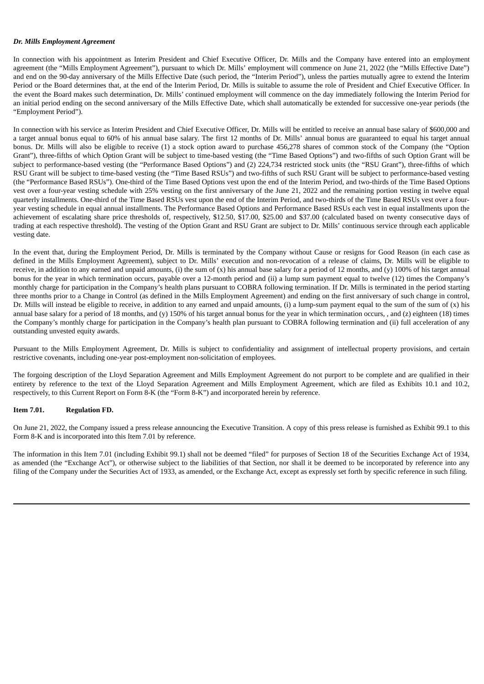#### *Dr. Mills Employment Agreement*

In connection with his appointment as Interim President and Chief Executive Officer, Dr. Mills and the Company have entered into an employment agreement (the "Mills Employment Agreement"), pursuant to which Dr. Mills' employment will commence on June 21, 2022 (the "Mills Effective Date") and end on the 90-day anniversary of the Mills Effective Date (such period, the "Interim Period"), unless the parties mutually agree to extend the Interim Period or the Board determines that, at the end of the Interim Period, Dr. Mills is suitable to assume the role of President and Chief Executive Officer. In the event the Board makes such determination, Dr. Mills' continued employment will commence on the day immediately following the Interim Period for an initial period ending on the second anniversary of the Mills Effective Date, which shall automatically be extended for successive one-year periods (the "Employment Period").

In connection with his service as Interim President and Chief Executive Officer, Dr. Mills will be entitled to receive an annual base salary of \$600,000 and a target annual bonus equal to 60% of his annual base salary. The first 12 months of Dr. Mills' annual bonus are guaranteed to equal his target annual bonus. Dr. Mills will also be eligible to receive (1) a stock option award to purchase 456,278 shares of common stock of the Company (the "Option Grant"), three-fifths of which Option Grant will be subject to time-based vesting (the "Time Based Options") and two-fifths of such Option Grant will be subject to performance-based vesting (the "Performance Based Options") and (2) 224,734 restricted stock units (the "RSU Grant"), three-fifths of which RSU Grant will be subject to time-based vesting (the "Time Based RSUs") and two-fifths of such RSU Grant will be subject to performance-based vesting (the "Performance Based RSUs"). One-third of the Time Based Options vest upon the end of the Interim Period, and two-thirds of the Time Based Options vest over a four-year vesting schedule with 25% vesting on the first anniversary of the June 21, 2022 and the remaining portion vesting in twelve equal quarterly installments. One-third of the Time Based RSUs vest upon the end of the Interim Period, and two-thirds of the Time Based RSUs vest over a fouryear vesting schedule in equal annual installments. The Performance Based Options and Performance Based RSUs each vest in equal installments upon the achievement of escalating share price thresholds of, respectively, \$12.50, \$17.00, \$25.00 and \$37.00 (calculated based on twenty consecutive days of trading at each respective threshold). The vesting of the Option Grant and RSU Grant are subject to Dr. Mills' continuous service through each applicable vesting date.

In the event that, during the Employment Period, Dr. Mills is terminated by the Company without Cause or resigns for Good Reason (in each case as defined in the Mills Employment Agreement), subject to Dr. Mills' execution and non-revocation of a release of claims, Dr. Mills will be eligible to receive, in addition to any earned and unpaid amounts, (i) the sum of (x) his annual base salary for a period of 12 months, and (y) 100% of his target annual bonus for the year in which termination occurs, payable over a 12-month period and (ii) a lump sum payment equal to twelve (12) times the Company's monthly charge for participation in the Company's health plans pursuant to COBRA following termination. If Dr. Mills is terminated in the period starting three months prior to a Change in Control (as defined in the Mills Employment Agreement) and ending on the first anniversary of such change in control, Dr. Mills will instead be eligible to receive, in addition to any earned and unpaid amounts, (i) a lump-sum payment equal to the sum of the sum of  $(x)$  his annual base salary for a period of 18 months, and (y) 150% of his target annual bonus for the year in which termination occurs, , and (z) eighteen (18) times the Company's monthly charge for participation in the Company's health plan pursuant to COBRA following termination and (ii) full acceleration of any outstanding unvested equity awards.

Pursuant to the Mills Employment Agreement, Dr. Mills is subject to confidentiality and assignment of intellectual property provisions, and certain restrictive covenants, including one-year post-employment non-solicitation of employees.

The forgoing description of the Lloyd Separation Agreement and Mills Employment Agreement do not purport to be complete and are qualified in their entirety by reference to the text of the Lloyd Separation Agreement and Mills Employment Agreement, which are filed as Exhibits 10.1 and 10.2, respectively, to this Current Report on Form 8-K (the "Form 8-K") and incorporated herein by reference.

#### **Item 7.01. Regulation FD.**

On June 21, 2022, the Company issued a press release announcing the Executive Transition. A copy of this press release is furnished as Exhibit 99.1 to this Form 8-K and is incorporated into this Item 7.01 by reference.

The information in this Item 7.01 (including Exhibit 99.1) shall not be deemed "filed" for purposes of Section 18 of the Securities Exchange Act of 1934, as amended (the "Exchange Act"), or otherwise subject to the liabilities of that Section, nor shall it be deemed to be incorporated by reference into any filing of the Company under the Securities Act of 1933, as amended, or the Exchange Act, except as expressly set forth by specific reference in such filing.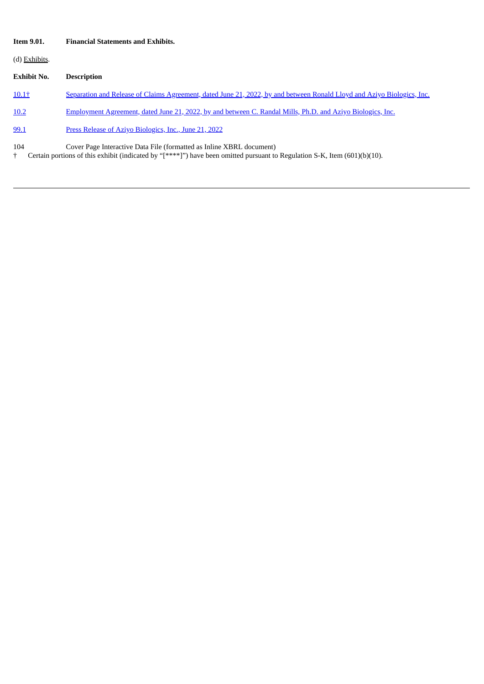# **Item 9.01. Financial Statements and Exhibits.**

(d) Exhibits.

# **Exhibit No. Description**

[10.1†](#page-5-0) Separation and Release of Claims [Agreement,](#page-5-0) dated June 21, 2022, by and between Ronald Lloyd and Aziyo Biologics, Inc.

[10.2](#page-14-0) [Employment](#page-14-0) Agreement, dated June 21, 2022, by and between C. Randal Mills, Ph.D. and Aziyo Biologics, Inc.

[99.1](#page-36-0) Press Release of Aziyo [Biologics,](#page-36-0) Inc., June 21, 2022

104 Cover Page Interactive Data File (formatted as Inline XBRL document)

† Certain portions of this exhibit (indicated by "[\*\*\*\*]") have been omitted pursuant to Regulation S-K, Item (601)(b)(10).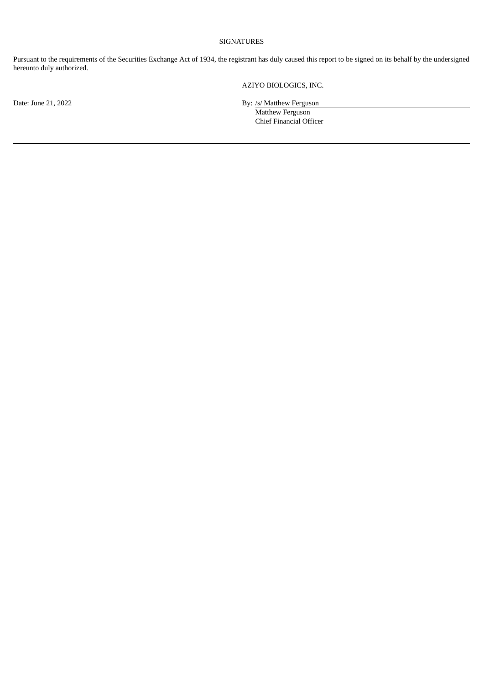# SIGNATURES

Pursuant to the requirements of the Securities Exchange Act of 1934, the registrant has duly caused this report to be signed on its behalf by the undersigned hereunto duly authorized.

AZIYO BIOLOGICS, INC.

Date: June 21, 2022 By: /s/ Matthew Ferguson

Matthew Ferguson Chief Financial Officer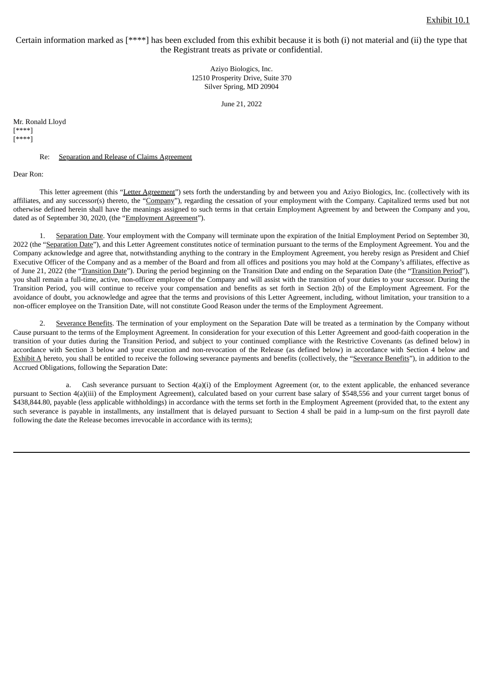<span id="page-5-0"></span>Certain information marked as [\*\*\*\*] has been excluded from this exhibit because it is both (i) not material and (ii) the type that the Registrant treats as private or confidential.

> Aziyo Biologics, Inc. 12510 Prosperity Drive, Suite 370 Silver Spring, MD 20904

> > June 21, 2022

Mr. Ronald Lloyd [\*\*\*\*] [\*\*\*\*]

Re: Separation and Release of Claims Agreement

Dear Ron:

This letter agreement (this "Letter Agreement") sets forth the understanding by and between you and Aziyo Biologics, Inc. (collectively with its affiliates, and any successor(s) thereto, the "Company"), regarding the cessation of your employment with the Company. Capitalized terms used but not otherwise defined herein shall have the meanings assigned to such terms in that certain Employment Agreement by and between the Company and you, dated as of September 30, 2020, (the "Employment Agreement").

Separation Date. Your employment with the Company will terminate upon the expiration of the Initial Employment Period on September 30, 2022 (the "Separation Date"), and this Letter Agreement constitutes notice of termination pursuant to the terms of the Employment Agreement. You and the Company acknowledge and agree that, notwithstanding anything to the contrary in the Employment Agreement, you hereby resign as President and Chief Executive Officer of the Company and as a member of the Board and from all offices and positions you may hold at the Company's affiliates, effective as of June 21, 2022 (the "Transition Date"). During the period beginning on the Transition Date and ending on the Separation Date (the "Transition Period"), you shall remain a full-time, active, non-officer employee of the Company and will assist with the transition of your duties to your successor. During the Transition Period, you will continue to receive your compensation and benefits as set forth in Section 2(b) of the Employment Agreement. For the avoidance of doubt, you acknowledge and agree that the terms and provisions of this Letter Agreement, including, without limitation, your transition to a non-officer employee on the Transition Date, will not constitute Good Reason under the terms of the Employment Agreement.

2. Severance Benefits. The termination of your employment on the Separation Date will be treated as a termination by the Company without Cause pursuant to the terms of the Employment Agreement. In consideration for your execution of this Letter Agreement and good-faith cooperation in the transition of your duties during the Transition Period, and subject to your continued compliance with the Restrictive Covenants (as defined below) in accordance with Section 3 below and your execution and non-revocation of the Release (as defined below) in accordance with Section 4 below and Exhibit A hereto, you shall be entitled to receive the following severance payments and benefits (collectively, the "Severance Benefits"), in addition to the Accrued Obligations, following the Separation Date:

a. Cash severance pursuant to Section 4(a)(i) of the Employment Agreement (or, to the extent applicable, the enhanced severance pursuant to Section 4(a)(iii) of the Employment Agreement), calculated based on your current base salary of \$548,556 and your current target bonus of \$438,844.80, payable (less applicable withholdings) in accordance with the terms set forth in the Employment Agreement (provided that, to the extent any such severance is payable in installments, any installment that is delayed pursuant to Section 4 shall be paid in a lump-sum on the first payroll date following the date the Release becomes irrevocable in accordance with its terms);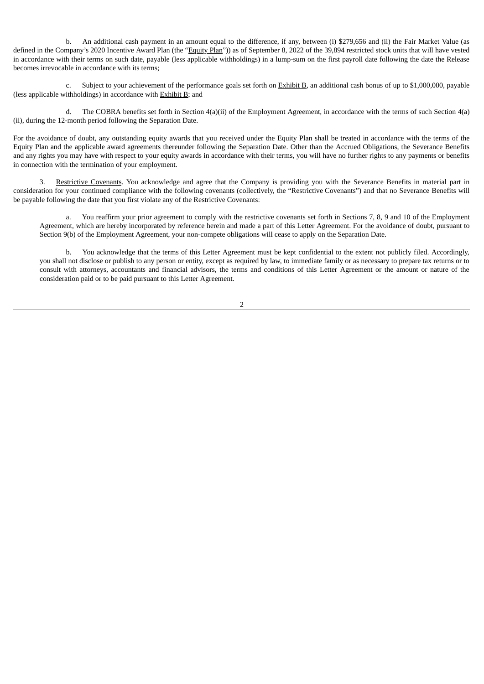b. An additional cash payment in an amount equal to the difference, if any, between (i) \$279,656 and (ii) the Fair Market Value (as defined in the Company's 2020 Incentive Award Plan (the "Equity Plan")) as of September 8, 2022 of the 39,894 restricted stock units that will have vested in accordance with their terms on such date, payable (less applicable withholdings) in a lump-sum on the first payroll date following the date the Release becomes irrevocable in accordance with its terms;

c. Subject to your achievement of the performance goals set forth on Exhibit B, an additional cash bonus of up to \$1,000,000, payable (less applicable withholdings) in accordance with Exhibit B; and

d. The COBRA benefits set forth in Section 4(a)(ii) of the Employment Agreement, in accordance with the terms of such Section 4(a) (ii), during the 12-month period following the Separation Date.

For the avoidance of doubt, any outstanding equity awards that you received under the Equity Plan shall be treated in accordance with the terms of the Equity Plan and the applicable award agreements thereunder following the Separation Date. Other than the Accrued Obligations, the Severance Benefits and any rights you may have with respect to your equity awards in accordance with their terms, you will have no further rights to any payments or benefits in connection with the termination of your employment.

Restrictive Covenants. You acknowledge and agree that the Company is providing you with the Severance Benefits in material part in consideration for your continued compliance with the following covenants (collectively, the "Restrictive Covenants") and that no Severance Benefits will be payable following the date that you first violate any of the Restrictive Covenants:

a. You reaffirm your prior agreement to comply with the restrictive covenants set forth in Sections 7, 8, 9 and 10 of the Employment Agreement, which are hereby incorporated by reference herein and made a part of this Letter Agreement. For the avoidance of doubt, pursuant to Section 9(b) of the Employment Agreement, your non-compete obligations will cease to apply on the Separation Date.

b. You acknowledge that the terms of this Letter Agreement must be kept confidential to the extent not publicly filed. Accordingly, you shall not disclose or publish to any person or entity, except as required by law, to immediate family or as necessary to prepare tax returns or to consult with attorneys, accountants and financial advisors, the terms and conditions of this Letter Agreement or the amount or nature of the consideration paid or to be paid pursuant to this Letter Agreement.

 $\overline{2}$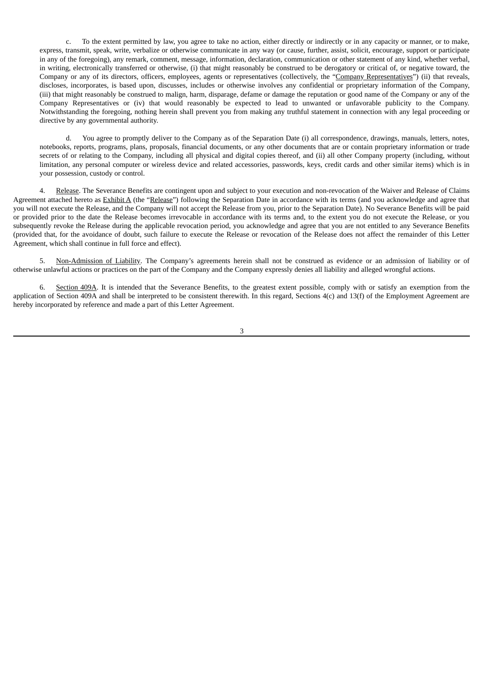c. To the extent permitted by law, you agree to take no action, either directly or indirectly or in any capacity or manner, or to make, express, transmit, speak, write, verbalize or otherwise communicate in any way (or cause, further, assist, solicit, encourage, support or participate in any of the foregoing), any remark, comment, message, information, declaration, communication or other statement of any kind, whether verbal, in writing, electronically transferred or otherwise, (i) that might reasonably be construed to be derogatory or critical of, or negative toward, the Company or any of its directors, officers, employees, agents or representatives (collectively, the "Company Representatives") (ii) that reveals, discloses, incorporates, is based upon, discusses, includes or otherwise involves any confidential or proprietary information of the Company, (iii) that might reasonably be construed to malign, harm, disparage, defame or damage the reputation or good name of the Company or any of the Company Representatives or (iv) that would reasonably be expected to lead to unwanted or unfavorable publicity to the Company. Notwithstanding the foregoing, nothing herein shall prevent you from making any truthful statement in connection with any legal proceeding or directive by any governmental authority.

d. You agree to promptly deliver to the Company as of the Separation Date (i) all correspondence, drawings, manuals, letters, notes, notebooks, reports, programs, plans, proposals, financial documents, or any other documents that are or contain proprietary information or trade secrets of or relating to the Company, including all physical and digital copies thereof, and (ii) all other Company property (including, without limitation, any personal computer or wireless device and related accessories, passwords, keys, credit cards and other similar items) which is in your possession, custody or control.

4. Release. The Severance Benefits are contingent upon and subject to your execution and non-revocation of the Waiver and Release of Claims Agreement attached hereto as Exhibit A (the "Release") following the Separation Date in accordance with its terms (and you acknowledge and agree that you will not execute the Release, and the Company will not accept the Release from you, prior to the Separation Date). No Severance Benefits will be paid or provided prior to the date the Release becomes irrevocable in accordance with its terms and, to the extent you do not execute the Release, or you subsequently revoke the Release during the applicable revocation period, you acknowledge and agree that you are not entitled to any Severance Benefits (provided that, for the avoidance of doubt, such failure to execute the Release or revocation of the Release does not affect the remainder of this Letter Agreement, which shall continue in full force and effect).

5. Non-Admission of Liability. The Company's agreements herein shall not be construed as evidence or an admission of liability or of otherwise unlawful actions or practices on the part of the Company and the Company expressly denies all liability and alleged wrongful actions.

6. Section 409A. It is intended that the Severance Benefits, to the greatest extent possible, comply with or satisfy an exemption from the application of Section 409A and shall be interpreted to be consistent therewith. In this regard, Sections 4(c) and 13(f) of the Employment Agreement are hereby incorporated by reference and made a part of this Letter Agreement.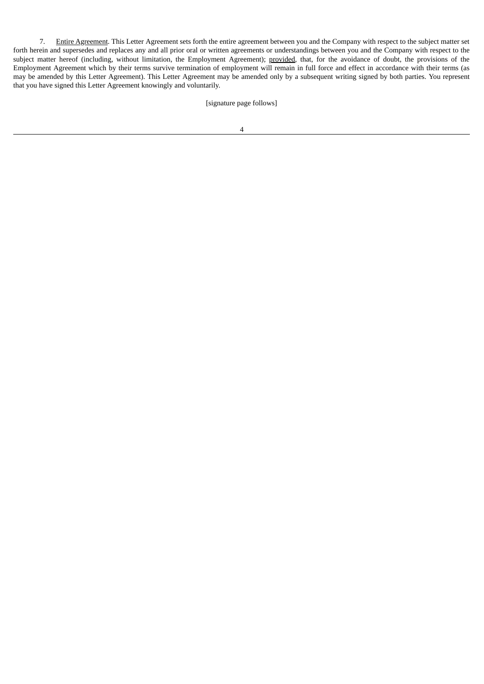7. Entire Agreement. This Letter Agreement sets forth the entire agreement between you and the Company with respect to the subject matter set forth herein and supersedes and replaces any and all prior oral or written agreements or understandings between you and the Company with respect to the subject matter hereof (including, without limitation, the Employment Agreement); provided, that, for the avoidance of doubt, the provisions of the Employment Agreement which by their terms survive termination of employment will remain in full force and effect in accordance with their terms (as may be amended by this Letter Agreement). This Letter Agreement may be amended only by a subsequent writing signed by both parties. You represent that you have signed this Letter Agreement knowingly and voluntarily.

# [signature page follows]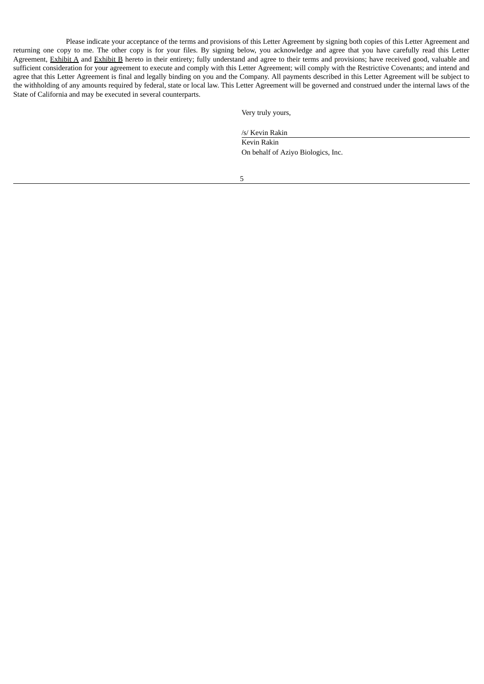Please indicate your acceptance of the terms and provisions of this Letter Agreement by signing both copies of this Letter Agreement and returning one copy to me. The other copy is for your files. By signing below, you acknowledge and agree that you have carefully read this Letter Agreement, Exhibit A and Exhibit B hereto in their entirety; fully understand and agree to their terms and provisions; have received good, valuable and sufficient consideration for your agreement to execute and comply with this Letter Agreement; will comply with the Restrictive Covenants; and intend and agree that this Letter Agreement is final and legally binding on you and the Company. All payments described in this Letter Agreement will be subject to the withholding of any amounts required by federal, state or local law. This Letter Agreement will be governed and construed under the internal laws of the State of California and may be executed in several counterparts.

Very truly yours,

/s/ Kevin Rakin

Kevin Rakin On behalf of Aziyo Biologics, Inc.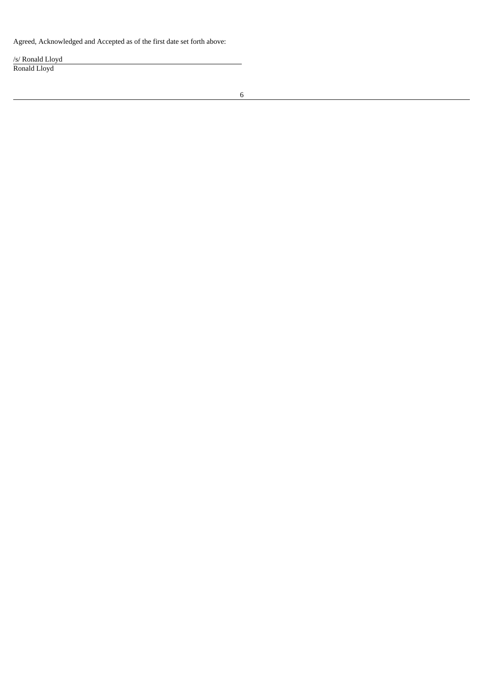Agreed, Acknowledged and Accepted as of the first date set forth above:

/s/ Ronald Lloyd Ronald Lloyd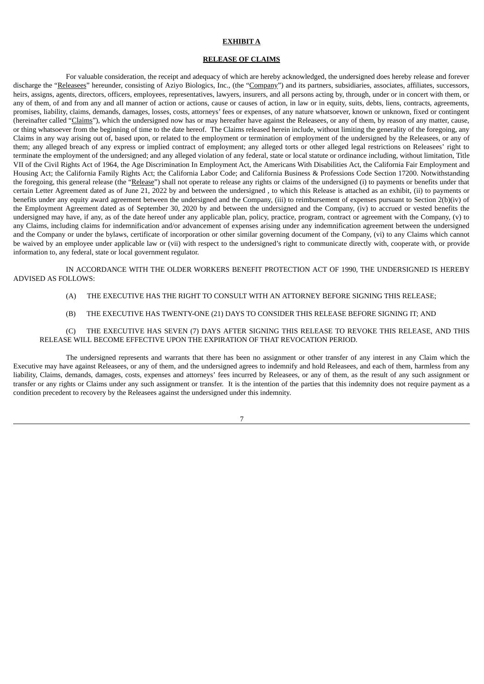#### **EXHIBIT A**

#### **RELEASE OF CLAIMS**

For valuable consideration, the receipt and adequacy of which are hereby acknowledged, the undersigned does hereby release and forever discharge the "Releasees" hereunder, consisting of Aziyo Biologics, Inc., (the "Company") and its partners, subsidiaries, associates, affiliates, successors, heirs, assigns, agents, directors, officers, employees, representatives, lawyers, insurers, and all persons acting by, through, under or in concert with them, or any of them, of and from any and all manner of action or actions, cause or causes of action, in law or in equity, suits, debts, liens, contracts, agreements, promises, liability, claims, demands, damages, losses, costs, attorneys' fees or expenses, of any nature whatsoever, known or unknown, fixed or contingent (hereinafter called "Claims"), which the undersigned now has or may hereafter have against the Releasees, or any of them, by reason of any matter, cause, or thing whatsoever from the beginning of time to the date hereof. The Claims released herein include, without limiting the generality of the foregoing, any Claims in any way arising out of, based upon, or related to the employment or termination of employment of the undersigned by the Releasees, or any of them; any alleged breach of any express or implied contract of employment; any alleged torts or other alleged legal restrictions on Releasees' right to terminate the employment of the undersigned; and any alleged violation of any federal, state or local statute or ordinance including, without limitation, Title VII of the Civil Rights Act of 1964, the Age Discrimination In Employment Act, the Americans With Disabilities Act, the California Fair Employment and Housing Act; the California Family Rights Act; the California Labor Code; and California Business & Professions Code Section 17200. Notwithstanding the foregoing, this general release (the "Release") shall not operate to release any rights or claims of the undersigned (i) to payments or benefits under that certain Letter Agreement dated as of June 21, 2022 by and between the undersigned , to which this Release is attached as an exhibit, (ii) to payments or benefits under any equity award agreement between the undersigned and the Company, (iii) to reimbursement of expenses pursuant to Section 2(b)(iv) of the Employment Agreement dated as of September 30, 2020 by and between the undersigned and the Company, (iv) to accrued or vested benefits the undersigned may have, if any, as of the date hereof under any applicable plan, policy, practice, program, contract or agreement with the Company, (v) to any Claims, including claims for indemnification and/or advancement of expenses arising under any indemnification agreement between the undersigned and the Company or under the bylaws, certificate of incorporation or other similar governing document of the Company, (vi) to any Claims which cannot be waived by an employee under applicable law or (vii) with respect to the undersigned's right to communicate directly with, cooperate with, or provide information to, any federal, state or local government regulator.

IN ACCORDANCE WITH THE OLDER WORKERS BENEFIT PROTECTION ACT OF 1990, THE UNDERSIGNED IS HEREBY ADVISED AS FOLLOWS:

- (A) THE EXECUTIVE HAS THE RIGHT TO CONSULT WITH AN ATTORNEY BEFORE SIGNING THIS RELEASE;
- (B) THE EXECUTIVE HAS TWENTY-ONE (21) DAYS TO CONSIDER THIS RELEASE BEFORE SIGNING IT; AND

#### (C) THE EXECUTIVE HAS SEVEN (7) DAYS AFTER SIGNING THIS RELEASE TO REVOKE THIS RELEASE, AND THIS RELEASE WILL BECOME EFFECTIVE UPON THE EXPIRATION OF THAT REVOCATION PERIOD.

The undersigned represents and warrants that there has been no assignment or other transfer of any interest in any Claim which the Executive may have against Releasees, or any of them, and the undersigned agrees to indemnify and hold Releasees, and each of them, harmless from any liability, Claims, demands, damages, costs, expenses and attorneys' fees incurred by Releasees, or any of them, as the result of any such assignment or transfer or any rights or Claims under any such assignment or transfer. It is the intention of the parties that this indemnity does not require payment as a condition precedent to recovery by the Releasees against the undersigned under this indemnity.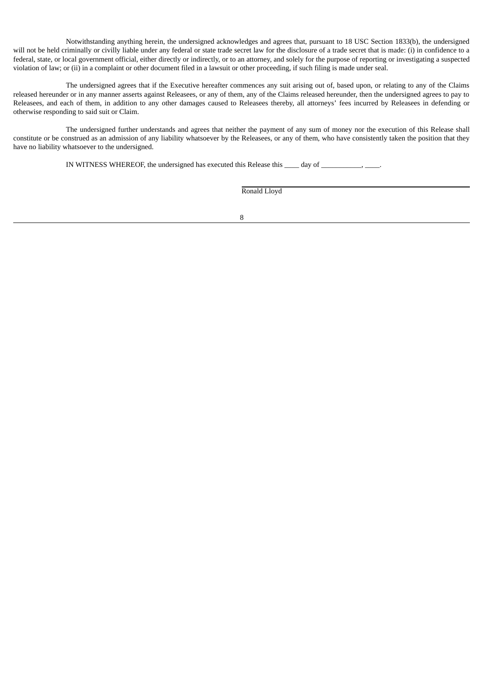Notwithstanding anything herein, the undersigned acknowledges and agrees that, pursuant to 18 USC Section 1833(b), the undersigned will not be held criminally or civilly liable under any federal or state trade secret law for the disclosure of a trade secret that is made: (i) in confidence to a federal, state, or local government official, either directly or indirectly, or to an attorney, and solely for the purpose of reporting or investigating a suspected violation of law; or (ii) in a complaint or other document filed in a lawsuit or other proceeding, if such filing is made under seal.

The undersigned agrees that if the Executive hereafter commences any suit arising out of, based upon, or relating to any of the Claims released hereunder or in any manner asserts against Releasees, or any of them, any of the Claims released hereunder, then the undersigned agrees to pay to Releasees, and each of them, in addition to any other damages caused to Releasees thereby, all attorneys' fees incurred by Releasees in defending or otherwise responding to said suit or Claim.

The undersigned further understands and agrees that neither the payment of any sum of money nor the execution of this Release shall constitute or be construed as an admission of any liability whatsoever by the Releasees, or any of them, who have consistently taken the position that they have no liability whatsoever to the undersigned.

IN WITNESS WHEREOF, the undersigned has executed this Release this \_\_\_\_ day of \_\_\_\_\_\_\_\_\_\_, \_\_\_\_\_.

Ronald Lloyd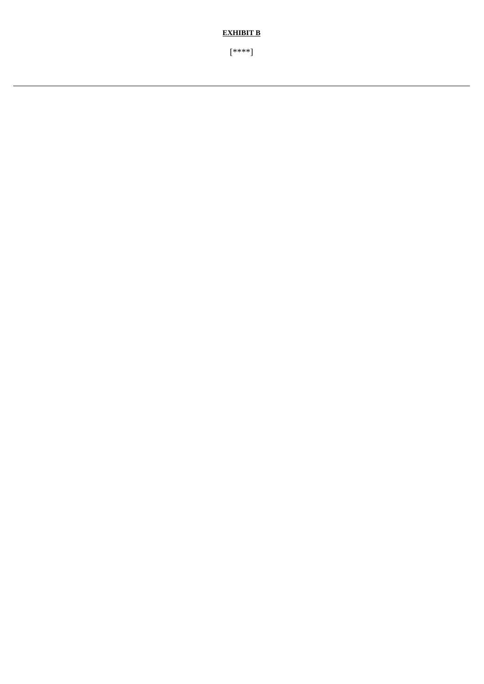[\*\*\*\*]

**EXHIBIT B**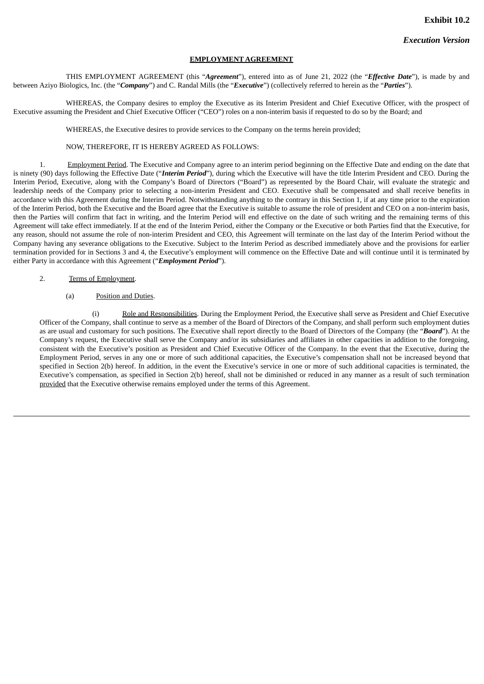#### **EMPLOYMENT AGREEMENT**

<span id="page-14-0"></span>THIS EMPLOYMENT AGREEMENT (this "*Agreement*"), entered into as of June 21, 2022 (the "*Effective Date*"), is made by and between Aziyo Biologics, Inc. (the "*Company*") and C. Randal Mills (the "*Executive*") (collectively referred to herein as the "*Parties*").

WHEREAS, the Company desires to employ the Executive as its Interim President and Chief Executive Officer, with the prospect of Executive assuming the President and Chief Executive Officer ("CEO") roles on a non-interim basis if requested to do so by the Board; and

WHEREAS, the Executive desires to provide services to the Company on the terms herein provided;

# NOW, THEREFORE, IT IS HEREBY AGREED AS FOLLOWS:

1. Employment Period. The Executive and Company agree to an interim period beginning on the Effective Date and ending on the date that is ninety (90) days following the Effective Date ("*Interim Period*"), during which the Executive will have the title Interim President and CEO. During the Interim Period, Executive, along with the Company's Board of Directors ("Board") as represented by the Board Chair, will evaluate the strategic and leadership needs of the Company prior to selecting a non-interim President and CEO. Executive shall be compensated and shall receive benefits in accordance with this Agreement during the Interim Period. Notwithstanding anything to the contrary in this Section 1, if at any time prior to the expiration of the Interim Period, both the Executive and the Board agree that the Executive is suitable to assume the role of president and CEO on a non-interim basis, then the Parties will confirm that fact in writing, and the Interim Period will end effective on the date of such writing and the remaining terms of this Agreement will take effect immediately. If at the end of the Interim Period, either the Company or the Executive or both Parties find that the Executive, for any reason, should not assume the role of non-interim President and CEO, this Agreement will terminate on the last day of the Interim Period without the Company having any severance obligations to the Executive. Subject to the Interim Period as described immediately above and the provisions for earlier termination provided for in Sections 3 and 4, the Executive's employment will commence on the Effective Date and will continue until it is terminated by either Party in accordance with this Agreement ("*Employment Period*").

- 2. Terms of Employment.
	- (a) Position and Duties.

(i) Role and Responsibilities. During the Employment Period, the Executive shall serve as President and Chief Executive Officer of the Company, shall continue to serve as a member of the Board of Directors of the Company, and shall perform such employment duties as are usual and customary for such positions. The Executive shall report directly to the Board of Directors of the Company (the "*Board*"). At the Company's request, the Executive shall serve the Company and/or its subsidiaries and affiliates in other capacities in addition to the foregoing, consistent with the Executive's position as President and Chief Executive Officer of the Company. In the event that the Executive, during the Employment Period, serves in any one or more of such additional capacities, the Executive's compensation shall not be increased beyond that specified in Section 2(b) hereof. In addition, in the event the Executive's service in one or more of such additional capacities is terminated, the Executive's compensation, as specified in Section 2(b) hereof, shall not be diminished or reduced in any manner as a result of such termination provided that the Executive otherwise remains employed under the terms of this Agreement.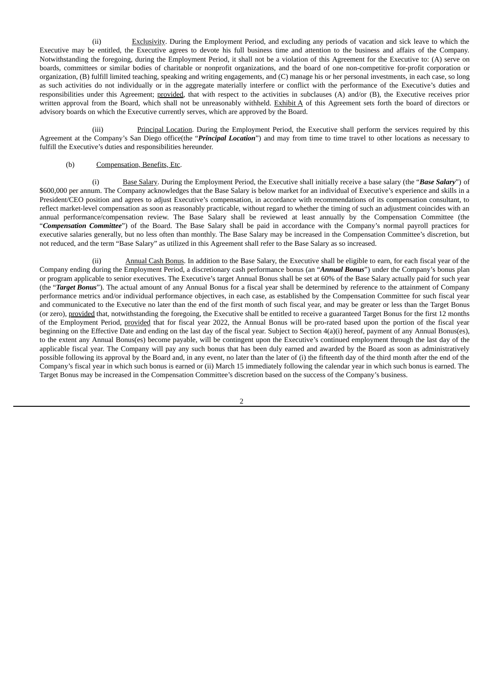(ii) Exclusivity. During the Employment Period, and excluding any periods of vacation and sick leave to which the Executive may be entitled, the Executive agrees to devote his full business time and attention to the business and affairs of the Company. Notwithstanding the foregoing, during the Employment Period, it shall not be a violation of this Agreement for the Executive to: (A) serve on boards, committees or similar bodies of charitable or nonprofit organizations, and the board of one non-competitive for-profit corporation or organization, (B) fulfill limited teaching, speaking and writing engagements, and (C) manage his or her personal investments, in each case, so long as such activities do not individually or in the aggregate materially interfere or conflict with the performance of the Executive's duties and responsibilities under this Agreement; provided, that with respect to the activities in subclauses (A) and/or (B), the Executive receives prior written approval from the Board, which shall not be unreasonably withheld. Exhibit A of this Agreement sets forth the board of directors or advisory boards on which the Executive currently serves, which are approved by the Board.

(iii) Principal Location. During the Employment Period, the Executive shall perform the services required by this Agreement at the Company's San Diego office(the "*Principal Location*") and may from time to time travel to other locations as necessary to fulfill the Executive's duties and responsibilities hereunder.

#### (b) Compensation, Benefits, Etc.

(i) Base Salary. During the Employment Period, the Executive shall initially receive a base salary (the "*Base Salary*") of \$600,000 per annum. The Company acknowledges that the Base Salary is below market for an individual of Executive's experience and skills in a President/CEO position and agrees to adjust Executive's compensation, in accordance with recommendations of its compensation consultant, to reflect market-level compensation as soon as reasonably practicable, without regard to whether the timing of such an adjustment coincides with an annual performance/compensation review. The Base Salary shall be reviewed at least annually by the Compensation Committee (the "*Compensation Committee*") of the Board. The Base Salary shall be paid in accordance with the Company's normal payroll practices for executive salaries generally, but no less often than monthly. The Base Salary may be increased in the Compensation Committee's discretion, but not reduced, and the term "Base Salary" as utilized in this Agreement shall refer to the Base Salary as so increased.

(ii) Annual Cash Bonus. In addition to the Base Salary, the Executive shall be eligible to earn, for each fiscal year of the Company ending during the Employment Period, a discretionary cash performance bonus (an "*Annual Bonus*") under the Company's bonus plan or program applicable to senior executives. The Executive's target Annual Bonus shall be set at 60% of the Base Salary actually paid for such year (the "*Target Bonus*"). The actual amount of any Annual Bonus for a fiscal year shall be determined by reference to the attainment of Company performance metrics and/or individual performance objectives, in each case, as established by the Compensation Committee for such fiscal year and communicated to the Executive no later than the end of the first month of such fiscal year, and may be greater or less than the Target Bonus (or zero), provided that, notwithstanding the foregoing, the Executive shall be entitled to receive a guaranteed Target Bonus for the first 12 months of the Employment Period, provided that for fiscal year 2022, the Annual Bonus will be pro-rated based upon the portion of the fiscal year beginning on the Effective Date and ending on the last day of the fiscal year. Subject to Section 4(a)(i) hereof, payment of any Annual Bonus(es), to the extent any Annual Bonus(es) become payable, will be contingent upon the Executive's continued employment through the last day of the applicable fiscal year. The Company will pay any such bonus that has been duly earned and awarded by the Board as soon as administratively possible following its approval by the Board and, in any event, no later than the later of (i) the fifteenth day of the third month after the end of the Company's fiscal year in which such bonus is earned or (ii) March 15 immediately following the calendar year in which such bonus is earned. The Target Bonus may be increased in the Compensation Committee's discretion based on the success of the Company's business.

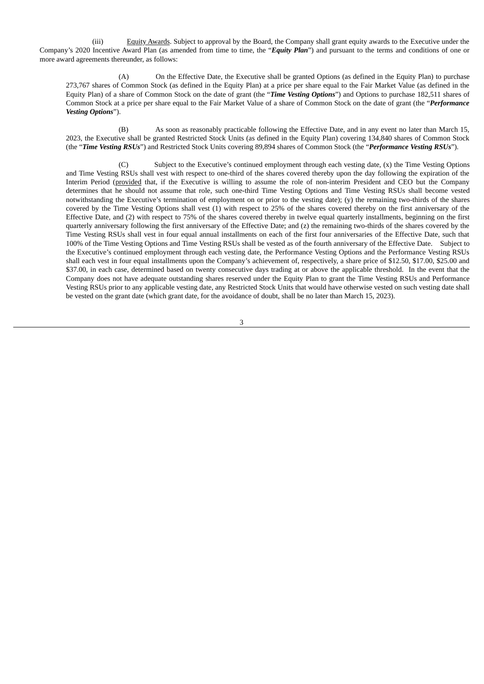(iii) Equity Awards. Subject to approval by the Board, the Company shall grant equity awards to the Executive under the Company's 2020 Incentive Award Plan (as amended from time to time, the "*Equity Plan*") and pursuant to the terms and conditions of one or more award agreements thereunder, as follows:

(A) On the Effective Date, the Executive shall be granted Options (as defined in the Equity Plan) to purchase 273,767 shares of Common Stock (as defined in the Equity Plan) at a price per share equal to the Fair Market Value (as defined in the Equity Plan) of a share of Common Stock on the date of grant (the "*Time Vesting Options*") and Options to purchase 182,511 shares of Common Stock at a price per share equal to the Fair Market Value of a share of Common Stock on the date of grant (the "*Performance Vesting Options*").

(B) As soon as reasonably practicable following the Effective Date, and in any event no later than March 15, 2023, the Executive shall be granted Restricted Stock Units (as defined in the Equity Plan) covering 134,840 shares of Common Stock (the "*Time Vesting RSUs*") and Restricted Stock Units covering 89,894 shares of Common Stock (the "*Performance Vesting RSUs*").

(C) Subject to the Executive's continued employment through each vesting date, (x) the Time Vesting Options and Time Vesting RSUs shall vest with respect to one-third of the shares covered thereby upon the day following the expiration of the Interim Period (provided that, if the Executive is willing to assume the role of non-interim President and CEO but the Company determines that he should not assume that role, such one-third Time Vesting Options and Time Vesting RSUs shall become vested notwithstanding the Executive's termination of employment on or prior to the vesting date); (y) the remaining two-thirds of the shares covered by the Time Vesting Options shall vest (1) with respect to 25% of the shares covered thereby on the first anniversary of the Effective Date, and (2) with respect to 75% of the shares covered thereby in twelve equal quarterly installments, beginning on the first quarterly anniversary following the first anniversary of the Effective Date; and (z) the remaining two-thirds of the shares covered by the Time Vesting RSUs shall vest in four equal annual installments on each of the first four anniversaries of the Effective Date, such that 100% of the Time Vesting Options and Time Vesting RSUs shall be vested as of the fourth anniversary of the Effective Date. Subject to the Executive's continued employment through each vesting date, the Performance Vesting Options and the Performance Vesting RSUs shall each vest in four equal installments upon the Company's achievement of, respectively, a share price of \$12.50, \$17.00, \$25.00 and \$37.00, in each case, determined based on twenty consecutive days trading at or above the applicable threshold. In the event that the Company does not have adequate outstanding shares reserved under the Equity Plan to grant the Time Vesting RSUs and Performance Vesting RSUs prior to any applicable vesting date, any Restricted Stock Units that would have otherwise vested on such vesting date shall be vested on the grant date (which grant date, for the avoidance of doubt, shall be no later than March 15, 2023).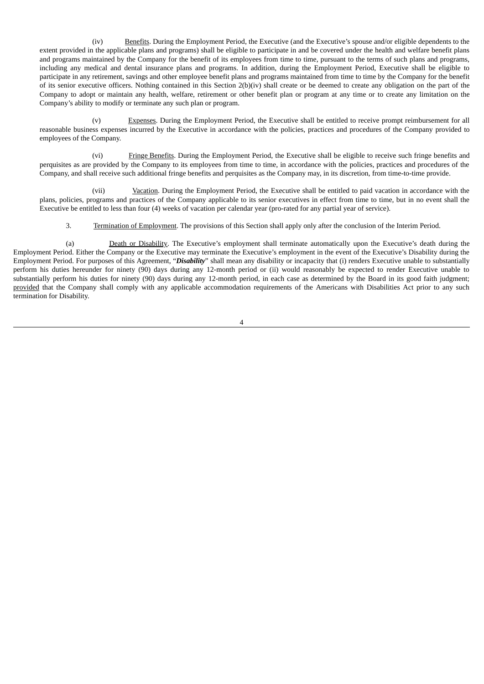(iv) Benefits. During the Employment Period, the Executive (and the Executive's spouse and/or eligible dependents to the extent provided in the applicable plans and programs) shall be eligible to participate in and be covered under the health and welfare benefit plans and programs maintained by the Company for the benefit of its employees from time to time, pursuant to the terms of such plans and programs, including any medical and dental insurance plans and programs. In addition, during the Employment Period, Executive shall be eligible to participate in any retirement, savings and other employee benefit plans and programs maintained from time to time by the Company for the benefit of its senior executive officers. Nothing contained in this Section 2(b)(iv) shall create or be deemed to create any obligation on the part of the Company to adopt or maintain any health, welfare, retirement or other benefit plan or program at any time or to create any limitation on the Company's ability to modify or terminate any such plan or program.

(v) Expenses. During the Employment Period, the Executive shall be entitled to receive prompt reimbursement for all reasonable business expenses incurred by the Executive in accordance with the policies, practices and procedures of the Company provided to employees of the Company.

(vi) Fringe Benefits. During the Employment Period, the Executive shall be eligible to receive such fringe benefits and perquisites as are provided by the Company to its employees from time to time, in accordance with the policies, practices and procedures of the Company, and shall receive such additional fringe benefits and perquisites as the Company may, in its discretion, from time-to-time provide.

(vii) Vacation. During the Employment Period, the Executive shall be entitled to paid vacation in accordance with the plans, policies, programs and practices of the Company applicable to its senior executives in effect from time to time, but in no event shall the Executive be entitled to less than four (4) weeks of vacation per calendar year (pro-rated for any partial year of service).

3. Termination of Employment. The provisions of this Section shall apply only after the conclusion of the Interim Period.

(a) Death or Disability. The Executive's employment shall terminate automatically upon the Executive's death during the Employment Period. Either the Company or the Executive may terminate the Executive's employment in the event of the Executive's Disability during the Employment Period. For purposes of this Agreement, "*Disability*" shall mean any disability or incapacity that (i) renders Executive unable to substantially perform his duties hereunder for ninety (90) days during any 12-month period or (ii) would reasonably be expected to render Executive unable to substantially perform his duties for ninety (90) days during any 12-month period, in each case as determined by the Board in its good faith judgment; provided that the Company shall comply with any applicable accommodation requirements of the Americans with Disabilities Act prior to any such termination for Disability.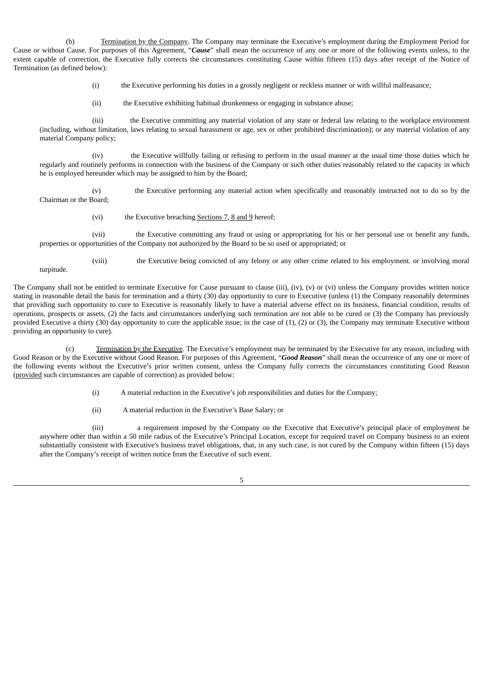(b) Termination by the Company. The Company may terminate the Executive's employment during the Employment Period for Cause or without Cause. For purposes of this Agreement, "*Cause*" shall mean the occurrence of any one or more of the following events unless, to the extent capable of correction, the Executive fully corrects the circumstances constituting Cause within fifteen (15) days after receipt of the Notice of Termination (as defined below):

(i) the Executive performing his duties in a grossly negligent or reckless manner or with willful malfeasance;

(ii) the Executive exhibiting habitual drunkenness or engaging in substance abuse;

(iii) the Executive committing any material violation of any state or federal law relating to the workplace environment (including, without limitation, laws relating to sexual harassment or age, sex or other prohibited discrimination); or any material violation of any material Company policy;

(iv) the Executive willfully failing or refusing to perform in the usual manner at the usual time those duties which he regularly and routinely performs in connection with the business of the Company or such other duties reasonably related to the capacity in which he is employed hereunder which may be assigned to him by the Board;

(v) the Executive performing any material action when specifically and reasonably instructed not to do so by the Chairman or the Board;

(vi) the Executive breaching Sections 7, 8 and 9 hereof;

(vii) the Executive committing any fraud or using or appropriating for his or her personal use or benefit any funds, properties or opportunities of the Company not authorized by the Board to be so used or appropriated; or

(viii) the Executive being convicted of any felony or any other crime related to his employment. or involving moral turpitude.

The Company shall not be entitled to terminate Executive for Cause pursuant to clause (iii), (iv), (v) or (vi) unless the Company provides written notice stating in reasonable detail the basis for termination and a thirty (30) day opportunity to cure to Executive (unless (1) the Company reasonably determines that providing such opportunity to cure to Executive is reasonably likely to have a material adverse effect on its business, financial condition, results of operations, prospects or assets, (2) the facts and circumstances underlying such termination are not able to be cured or (3) the Company has previously provided Executive a thirty (30) day opportunity to cure the applicable issue; in the case of (1), (2) or (3), the Company may terminate Executive without providing an opportunity to cure).

(c) Termination by the Executive. The Executive's employment may be terminated by the Executive for any reason, including with Good Reason or by the Executive without Good Reason. For purposes of this Agreement, "*Good Reason*" shall mean the occurrence of any one or more of the following events without the Executive's prior written consent, unless the Company fully corrects the circumstances constituting Good Reason (provided such circumstances are capable of correction) as provided below:

(i) A material reduction in the Executive's job responsibilities and duties for the Company;

(ii) A material reduction in the Executive's Base Salary; or

(iii) a requirement imposed by the Company on the Executive that Executive's principal place of employment be anywhere other than within a 50 mile radius of the Executive's Principal Location, except for required travel on Company business to an extent substantially consistent with Executive's business travel obligations, that, in any such case, is not cured by the Company within fifteen (15) days after the Company's receipt of written notice from the Executive of such event.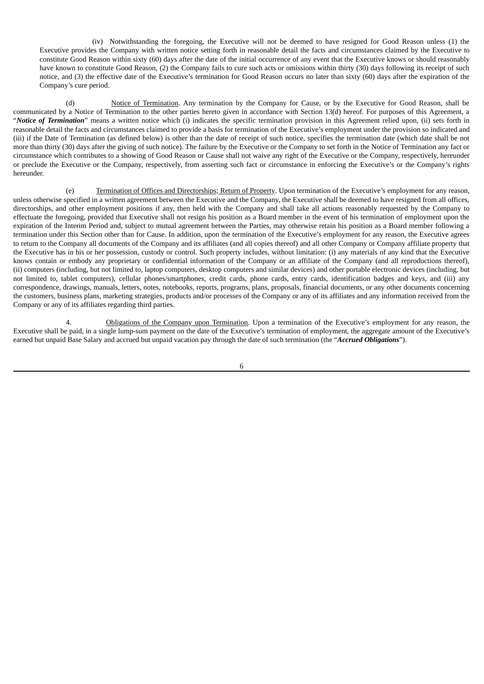(iv) Notwithstanding the foregoing, the Executive will not be deemed to have resigned for Good Reason unless (1) the Executive provides the Company with written notice setting forth in reasonable detail the facts and circumstances claimed by the Executive to constitute Good Reason within sixty (60) days after the date of the initial occurrence of any event that the Executive knows or should reasonably have known to constitute Good Reason, (2) the Company fails to cure such acts or omissions within thirty (30) days following its receipt of such notice, and (3) the effective date of the Executive's termination for Good Reason occurs no later than sixty (60) days after the expiration of the Company's cure period.

(d) Notice of Termination. Any termination by the Company for Cause, or by the Executive for Good Reason, shall be communicated by a Notice of Termination to the other parties hereto given in accordance with Section 13(d) hereof. For purposes of this Agreement, a "*Notice of Termination*" means a written notice which (i) indicates the specific termination provision in this Agreement relied upon, (ii) sets forth in reasonable detail the facts and circumstances claimed to provide a basis for termination of the Executive's employment under the provision so indicated and (iii) if the Date of Termination (as defined below) is other than the date of receipt of such notice, specifies the termination date (which date shall be not more than thirty (30) days after the giving of such notice). The failure by the Executive or the Company to set forth in the Notice of Termination any fact or circumstance which contributes to a showing of Good Reason or Cause shall not waive any right of the Executive or the Company, respectively, hereunder or preclude the Executive or the Company, respectively, from asserting such fact or circumstance in enforcing the Executive's or the Company's rights hereunder.

(e) Termination of Offices and Directorships; Return of Property. Upon termination of the Executive's employment for any reason, unless otherwise specified in a written agreement between the Executive and the Company, the Executive shall be deemed to have resigned from all offices, directorships, and other employment positions if any, then held with the Company and shall take all actions reasonably requested by the Company to effectuate the foregoing, provided that Executive shall not resign his position as a Board member in the event of his termination of employment upon the expiration of the Interim Period and, subject to mutual agreement between the Parties, may otherwise retain his position as a Board member following a termination under this Section other than for Cause. In addition, upon the termination of the Executive's employment for any reason, the Executive agrees to return to the Company all documents of the Company and its affiliates (and all copies thereof) and all other Company or Company affiliate property that the Executive has in his or her possession, custody or control. Such property includes, without limitation: (i) any materials of any kind that the Executive knows contain or embody any proprietary or confidential information of the Company or an affiliate of the Company (and all reproductions thereof), (ii) computers (including, but not limited to, laptop computers, desktop computers and similar devices) and other portable electronic devices (including, but not limited to, tablet computers), cellular phones/smartphones, credit cards, phone cards, entry cards, identification badges and keys, and (iii) any correspondence, drawings, manuals, letters, notes, notebooks, reports, programs, plans, proposals, financial documents, or any other documents concerning the customers, business plans, marketing strategies, products and/or processes of the Company or any of its affiliates and any information received from the Company or any of its affiliates regarding third parties.

4. **Obligations of the Company upon Termination**. Upon a termination of the Executive's employment for any reason, the Executive shall be paid, in a single lump-sum payment on the date of the Executive's termination of employment, the aggregate amount of the Executive's earned but unpaid Base Salary and accrued but unpaid vacation pay through the date of such termination (the "*Accrued Obligations*").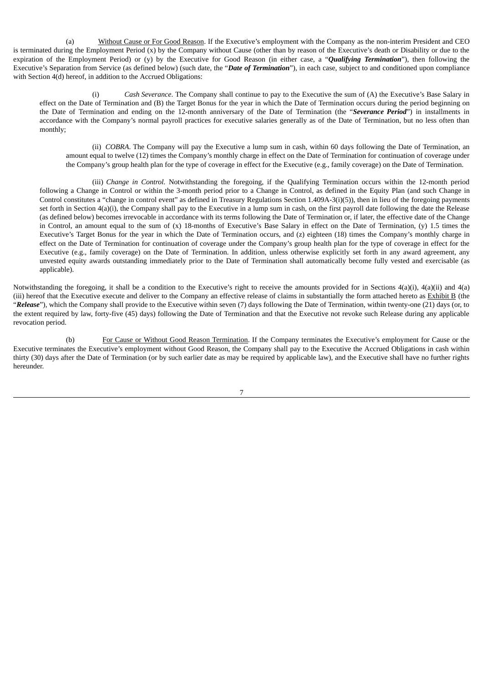(a) Without Cause or For Good Reason. If the Executive's employment with the Company as the non-interim President and CEO is terminated during the Employment Period (x) by the Company without Cause (other than by reason of the Executive's death or Disability or due to the expiration of the Employment Period) or (y) by the Executive for Good Reason (in either case, a "*Qualifying Termination*"), then following the Executive's Separation from Service (as defined below) (such date, the "*Date of Termination*"), in each case, subject to and conditioned upon compliance with Section 4(d) hereof, in addition to the Accrued Obligations:

(i) *Cash Severance*. The Company shall continue to pay to the Executive the sum of (A) the Executive's Base Salary in effect on the Date of Termination and (B) the Target Bonus for the year in which the Date of Termination occurs during the period beginning on the Date of Termination and ending on the 12-month anniversary of the Date of Termination (the "*Severance Period*") in installments in accordance with the Company's normal payroll practices for executive salaries generally as of the Date of Termination, but no less often than monthly;

(ii) *COBRA*. The Company will pay the Executive a lump sum in cash, within 60 days following the Date of Termination, an amount equal to twelve (12) times the Company's monthly charge in effect on the Date of Termination for continuation of coverage under the Company's group health plan for the type of coverage in effect for the Executive (e.g., family coverage) on the Date of Termination.

(iii) *Change in Control.* Notwithstanding the foregoing, if the Qualifying Termination occurs within the 12-month period following a Change in Control or within the 3-month period prior to a Change in Control, as defined in the Equity Plan (and such Change in Control constitutes a "change in control event" as defined in Treasury Regulations Section 1.409A-3(i)(5)), then in lieu of the foregoing payments set forth in Section 4(a)(i), the Company shall pay to the Executive in a lump sum in cash, on the first payroll date following the date the Release (as defined below) becomes irrevocable in accordance with its terms following the Date of Termination or, if later, the effective date of the Change in Control, an amount equal to the sum of (x) 18-months of Executive's Base Salary in effect on the Date of Termination, (y) 1.5 times the Executive's Target Bonus for the year in which the Date of Termination occurs, and (z) eighteen (18) times the Company's monthly charge in effect on the Date of Termination for continuation of coverage under the Company's group health plan for the type of coverage in effect for the Executive (e.g., family coverage) on the Date of Termination. In addition, unless otherwise explicitly set forth in any award agreement, any unvested equity awards outstanding immediately prior to the Date of Termination shall automatically become fully vested and exercisable (as applicable).

Notwithstanding the foregoing, it shall be a condition to the Executive's right to receive the amounts provided for in Sections  $4(a)(i)$ ,  $4(a)(ii)$  and  $4(a)$ (iii) hereof that the Executive execute and deliver to the Company an effective release of claims in substantially the form attached hereto as Exhibit B (the "*Release*"), which the Company shall provide to the Executive within seven (7) days following the Date of Termination, within twenty-one (21) days (or, to the extent required by law, forty-five (45) days) following the Date of Termination and that the Executive not revoke such Release during any applicable revocation period.

(b) For Cause or Without Good Reason Termination. If the Company terminates the Executive's employment for Cause or the Executive terminates the Executive's employment without Good Reason, the Company shall pay to the Executive the Accrued Obligations in cash within thirty (30) days after the Date of Termination (or by such earlier date as may be required by applicable law), and the Executive shall have no further rights hereunder.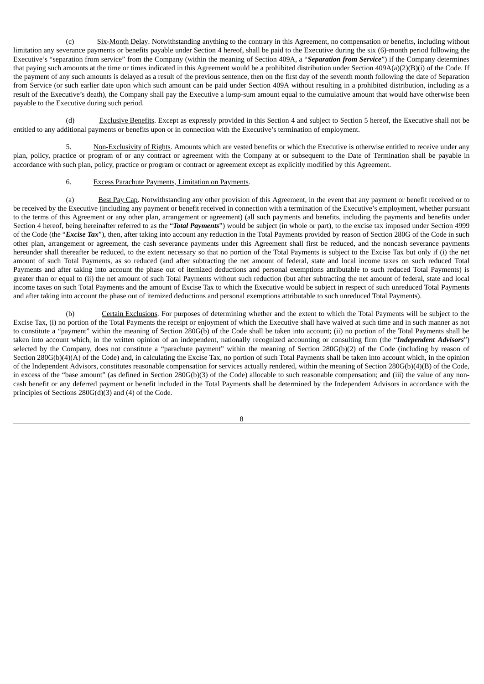(c) Six-Month Delay. Notwithstanding anything to the contrary in this Agreement, no compensation or benefits, including without limitation any severance payments or benefits payable under Section 4 hereof, shall be paid to the Executive during the six (6)-month period following the Executive's "separation from service" from the Company (within the meaning of Section 409A, a "*Separation from Service*") if the Company determines that paying such amounts at the time or times indicated in this Agreement would be a prohibited distribution under Section 409A(a)(2)(B)(i) of the Code. If the payment of any such amounts is delayed as a result of the previous sentence, then on the first day of the seventh month following the date of Separation from Service (or such earlier date upon which such amount can be paid under Section 409A without resulting in a prohibited distribution, including as a result of the Executive's death), the Company shall pay the Executive a lump-sum amount equal to the cumulative amount that would have otherwise been payable to the Executive during such period.

(d) Exclusive Benefits. Except as expressly provided in this Section 4 and subject to Section 5 hereof, the Executive shall not be entitled to any additional payments or benefits upon or in connection with the Executive's termination of employment.

5. Non-Exclusivity of Rights. Amounts which are vested benefits or which the Executive is otherwise entitled to receive under any plan, policy, practice or program of or any contract or agreement with the Company at or subsequent to the Date of Termination shall be payable in accordance with such plan, policy, practice or program or contract or agreement except as explicitly modified by this Agreement.

#### 6. Excess Parachute Payments, Limitation on Payments.

(a) Best Pay Cap. Notwithstanding any other provision of this Agreement, in the event that any payment or benefit received or to be received by the Executive (including any payment or benefit received in connection with a termination of the Executive's employment, whether pursuant to the terms of this Agreement or any other plan, arrangement or agreement) (all such payments and benefits, including the payments and benefits under Section 4 hereof, being hereinafter referred to as the "*Total Payments*") would be subject (in whole or part), to the excise tax imposed under Section 4999 of the Code (the "*Excise Tax*"), then, after taking into account any reduction in the Total Payments provided by reason of Section 280G of the Code in such other plan, arrangement or agreement, the cash severance payments under this Agreement shall first be reduced, and the noncash severance payments hereunder shall thereafter be reduced, to the extent necessary so that no portion of the Total Payments is subject to the Excise Tax but only if (i) the net amount of such Total Payments, as so reduced (and after subtracting the net amount of federal, state and local income taxes on such reduced Total Payments and after taking into account the phase out of itemized deductions and personal exemptions attributable to such reduced Total Payments) is greater than or equal to (ii) the net amount of such Total Payments without such reduction (but after subtracting the net amount of federal, state and local income taxes on such Total Payments and the amount of Excise Tax to which the Executive would be subject in respect of such unreduced Total Payments and after taking into account the phase out of itemized deductions and personal exemptions attributable to such unreduced Total Payments).

(b) Certain Exclusions. For purposes of determining whether and the extent to which the Total Payments will be subject to the Excise Tax, (i) no portion of the Total Payments the receipt or enjoyment of which the Executive shall have waived at such time and in such manner as not to constitute a "payment" within the meaning of Section 280G(b) of the Code shall be taken into account; (ii) no portion of the Total Payments shall be taken into account which, in the written opinion of an independent, nationally recognized accounting or consulting firm (the "*Independent Advisors*") selected by the Company, does not constitute a "parachute payment" within the meaning of Section 280G(b)(2) of the Code (including by reason of Section 280G(b)(4)(A) of the Code) and, in calculating the Excise Tax, no portion of such Total Payments shall be taken into account which, in the opinion of the Independent Advisors, constitutes reasonable compensation for services actually rendered, within the meaning of Section 280G(b)(4)(B) of the Code, in excess of the "base amount" (as defined in Section 280G(b)(3) of the Code) allocable to such reasonable compensation; and (iii) the value of any noncash benefit or any deferred payment or benefit included in the Total Payments shall be determined by the Independent Advisors in accordance with the principles of Sections 280G(d)(3) and (4) of the Code.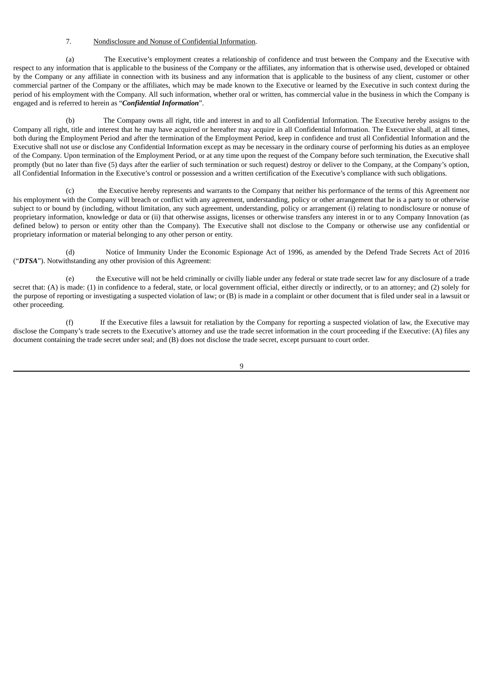# 7. Nondisclosure and Nonuse of Confidential Information.

(a) The Executive's employment creates a relationship of confidence and trust between the Company and the Executive with respect to any information that is applicable to the business of the Company or the affiliates, any information that is otherwise used, developed or obtained by the Company or any affiliate in connection with its business and any information that is applicable to the business of any client, customer or other commercial partner of the Company or the affiliates, which may be made known to the Executive or learned by the Executive in such context during the period of his employment with the Company. All such information, whether oral or written, has commercial value in the business in which the Company is engaged and is referred to herein as "*Confidential Information*".

The Company owns all right, title and interest in and to all Confidential Information. The Executive hereby assigns to the Company all right, title and interest that he may have acquired or hereafter may acquire in all Confidential Information. The Executive shall, at all times, both during the Employment Period and after the termination of the Employment Period, keep in confidence and trust all Confidential Information and the Executive shall not use or disclose any Confidential Information except as may be necessary in the ordinary course of performing his duties as an employee of the Company. Upon termination of the Employment Period, or at any time upon the request of the Company before such termination, the Executive shall promptly (but no later than five (5) days after the earlier of such termination or such request) destroy or deliver to the Company, at the Company's option, all Confidential Information in the Executive's control or possession and a written certification of the Executive's compliance with such obligations.

(c) the Executive hereby represents and warrants to the Company that neither his performance of the terms of this Agreement nor his employment with the Company will breach or conflict with any agreement, understanding, policy or other arrangement that he is a party to or otherwise subject to or bound by (including, without limitation, any such agreement, understanding, policy or arrangement (i) relating to nondisclosure or nonuse of proprietary information, knowledge or data or (ii) that otherwise assigns, licenses or otherwise transfers any interest in or to any Company Innovation (as defined below) to person or entity other than the Company). The Executive shall not disclose to the Company or otherwise use any confidential or proprietary information or material belonging to any other person or entity.

(d) Notice of Immunity Under the Economic Espionage Act of 1996, as amended by the Defend Trade Secrets Act of 2016 ("*DTSA*"). Notwithstanding any other provision of this Agreement:

(e) the Executive will not be held criminally or civilly liable under any federal or state trade secret law for any disclosure of a trade secret that: (A) is made: (1) in confidence to a federal, state, or local government official, either directly or indirectly, or to an attorney; and (2) solely for the purpose of reporting or investigating a suspected violation of law; or (B) is made in a complaint or other document that is filed under seal in a lawsuit or other proceeding.

(f) If the Executive files a lawsuit for retaliation by the Company for reporting a suspected violation of law, the Executive may disclose the Company's trade secrets to the Executive's attorney and use the trade secret information in the court proceeding if the Executive: (A) files any document containing the trade secret under seal; and (B) does not disclose the trade secret, except pursuant to court order.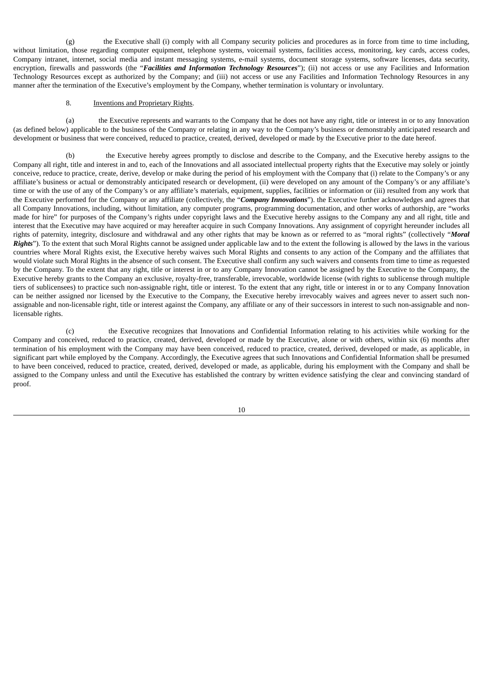(g) the Executive shall (i) comply with all Company security policies and procedures as in force from time to time including, without limitation, those regarding computer equipment, telephone systems, voicemail systems, facilities access, monitoring, key cards, access codes, Company intranet, internet, social media and instant messaging systems, e-mail systems, document storage systems, software licenses, data security, encryption, firewalls and passwords (the "*Facilities and Information Technology Resources*"); (ii) not access or use any Facilities and Information Technology Resources except as authorized by the Company; and (iii) not access or use any Facilities and Information Technology Resources in any manner after the termination of the Executive's employment by the Company, whether termination is voluntary or involuntary.

## 8. Inventions and Proprietary Rights.

(a) the Executive represents and warrants to the Company that he does not have any right, title or interest in or to any Innovation (as defined below) applicable to the business of the Company or relating in any way to the Company's business or demonstrably anticipated research and development or business that were conceived, reduced to practice, created, derived, developed or made by the Executive prior to the date hereof.

(b) the Executive hereby agrees promptly to disclose and describe to the Company, and the Executive hereby assigns to the Company all right, title and interest in and to, each of the Innovations and all associated intellectual property rights that the Executive may solely or jointly conceive, reduce to practice, create, derive, develop or make during the period of his employment with the Company that (i) relate to the Company's or any affiliate's business or actual or demonstrably anticipated research or development, (ii) were developed on any amount of the Company's or any affiliate's time or with the use of any of the Company's or any affiliate's materials, equipment, supplies, facilities or information or (iii) resulted from any work that the Executive performed for the Company or any affiliate (collectively, the "*Company Innovations*"). the Executive further acknowledges and agrees that all Company Innovations, including, without limitation, any computer programs, programming documentation, and other works of authorship, are "works made for hire" for purposes of the Company's rights under copyright laws and the Executive hereby assigns to the Company any and all right, title and interest that the Executive may have acquired or may hereafter acquire in such Company Innovations. Any assignment of copyright hereunder includes all rights of paternity, integrity, disclosure and withdrawal and any other rights that may be known as or referred to as "moral rights" (collectively "*Moral Rights*"). To the extent that such Moral Rights cannot be assigned under applicable law and to the extent the following is allowed by the laws in the various countries where Moral Rights exist, the Executive hereby waives such Moral Rights and consents to any action of the Company and the affiliates that would violate such Moral Rights in the absence of such consent. The Executive shall confirm any such waivers and consents from time to time as requested by the Company. To the extent that any right, title or interest in or to any Company Innovation cannot be assigned by the Executive to the Company, the Executive hereby grants to the Company an exclusive, royalty-free, transferable, irrevocable, worldwide license (with rights to sublicense through multiple tiers of sublicensees) to practice such non-assignable right, title or interest. To the extent that any right, title or interest in or to any Company Innovation can be neither assigned nor licensed by the Executive to the Company, the Executive hereby irrevocably waives and agrees never to assert such nonassignable and non-licensable right, title or interest against the Company, any affiliate or any of their successors in interest to such non-assignable and nonlicensable rights.

(c) the Executive recognizes that Innovations and Confidential Information relating to his activities while working for the Company and conceived, reduced to practice, created, derived, developed or made by the Executive, alone or with others, within six (6) months after termination of his employment with the Company may have been conceived, reduced to practice, created, derived, developed or made, as applicable, in significant part while employed by the Company. Accordingly, the Executive agrees that such Innovations and Confidential Information shall be presumed to have been conceived, reduced to practice, created, derived, developed or made, as applicable, during his employment with the Company and shall be assigned to the Company unless and until the Executive has established the contrary by written evidence satisfying the clear and convincing standard of proof.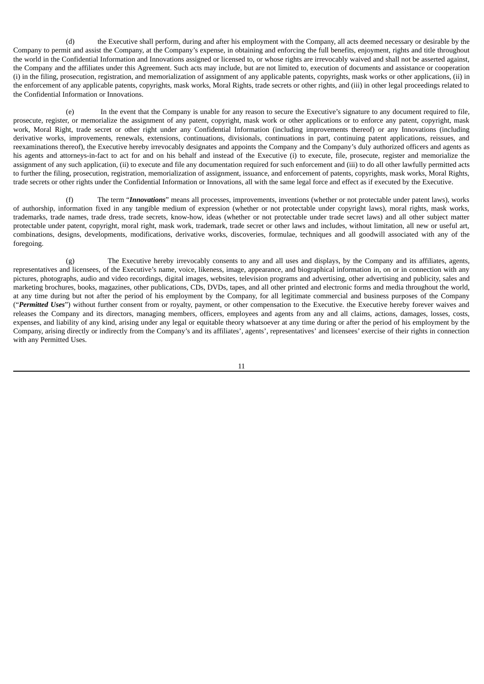(d) the Executive shall perform, during and after his employment with the Company, all acts deemed necessary or desirable by the Company to permit and assist the Company, at the Company's expense, in obtaining and enforcing the full benefits, enjoyment, rights and title throughout the world in the Confidential Information and Innovations assigned or licensed to, or whose rights are irrevocably waived and shall not be asserted against, the Company and the affiliates under this Agreement. Such acts may include, but are not limited to, execution of documents and assistance or cooperation (i) in the filing, prosecution, registration, and memorialization of assignment of any applicable patents, copyrights, mask works or other applications, (ii) in the enforcement of any applicable patents, copyrights, mask works, Moral Rights, trade secrets or other rights, and (iii) in other legal proceedings related to the Confidential Information or Innovations.

(e) In the event that the Company is unable for any reason to secure the Executive's signature to any document required to file, prosecute, register, or memorialize the assignment of any patent, copyright, mask work or other applications or to enforce any patent, copyright, mask work, Moral Right, trade secret or other right under any Confidential Information (including improvements thereof) or any Innovations (including derivative works, improvements, renewals, extensions, continuations, divisionals, continuations in part, continuing patent applications, reissues, and reexaminations thereof), the Executive hereby irrevocably designates and appoints the Company and the Company's duly authorized officers and agents as his agents and attorneys-in-fact to act for and on his behalf and instead of the Executive (i) to execute, file, prosecute, register and memorialize the assignment of any such application, (ii) to execute and file any documentation required for such enforcement and (iii) to do all other lawfully permitted acts to further the filing, prosecution, registration, memorialization of assignment, issuance, and enforcement of patents, copyrights, mask works, Moral Rights, trade secrets or other rights under the Confidential Information or Innovations, all with the same legal force and effect as if executed by the Executive.

(f) The term "*Innovations*" means all processes, improvements, inventions (whether or not protectable under patent laws), works of authorship, information fixed in any tangible medium of expression (whether or not protectable under copyright laws), moral rights, mask works, trademarks, trade names, trade dress, trade secrets, know-how, ideas (whether or not protectable under trade secret laws) and all other subject matter protectable under patent, copyright, moral right, mask work, trademark, trade secret or other laws and includes, without limitation, all new or useful art, combinations, designs, developments, modifications, derivative works, discoveries, formulae, techniques and all goodwill associated with any of the foregoing.

(g) The Executive hereby irrevocably consents to any and all uses and displays, by the Company and its affiliates, agents, representatives and licensees, of the Executive's name, voice, likeness, image, appearance, and biographical information in, on or in connection with any pictures, photographs, audio and video recordings, digital images, websites, television programs and advertising, other advertising and publicity, sales and marketing brochures, books, magazines, other publications, CDs, DVDs, tapes, and all other printed and electronic forms and media throughout the world, at any time during but not after the period of his employment by the Company, for all legitimate commercial and business purposes of the Company ("*Permitted Uses*") without further consent from or royalty, payment, or other compensation to the Executive. the Executive hereby forever waives and releases the Company and its directors, managing members, officers, employees and agents from any and all claims, actions, damages, losses, costs, expenses, and liability of any kind, arising under any legal or equitable theory whatsoever at any time during or after the period of his employment by the Company, arising directly or indirectly from the Company's and its affiliates', agents', representatives' and licensees' exercise of their rights in connection with any Permitted Uses.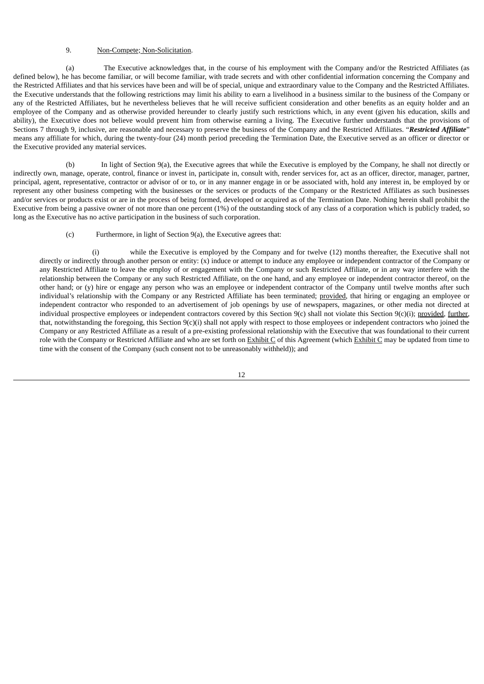# 9. Non-Compete; Non-Solicitation.

(a) The Executive acknowledges that, in the course of his employment with the Company and/or the Restricted Affiliates (as defined below), he has become familiar, or will become familiar, with trade secrets and with other confidential information concerning the Company and the Restricted Affiliates and that his services have been and will be of special, unique and extraordinary value to the Company and the Restricted Affiliates. the Executive understands that the following restrictions may limit his ability to earn a livelihood in a business similar to the business of the Company or any of the Restricted Affiliates, but he nevertheless believes that he will receive sufficient consideration and other benefits as an equity holder and an employee of the Company and as otherwise provided hereunder to clearly justify such restrictions which, in any event (given his education, skills and ability), the Executive does not believe would prevent him from otherwise earning a living. The Executive further understands that the provisions of Sections 7 through 9, inclusive, are reasonable and necessary to preserve the business of the Company and the Restricted Affiliates. "*Restricted Affiliate*" means any affiliate for which, during the twenty-four (24) month period preceding the Termination Date, the Executive served as an officer or director or the Executive provided any material services.

(b) In light of Section 9(a), the Executive agrees that while the Executive is employed by the Company, he shall not directly or indirectly own, manage, operate, control, finance or invest in, participate in, consult with, render services for, act as an officer, director, manager, partner, principal, agent, representative, contractor or advisor of or to, or in any manner engage in or be associated with, hold any interest in, be employed by or represent any other business competing with the businesses or the services or products of the Company or the Restricted Affiliates as such businesses and/or services or products exist or are in the process of being formed, developed or acquired as of the Termination Date. Nothing herein shall prohibit the Executive from being a passive owner of not more than one percent (1%) of the outstanding stock of any class of a corporation which is publicly traded, so long as the Executive has no active participation in the business of such corporation.

(c) Furthermore, in light of Section 9(a), the Executive agrees that:

(i) while the Executive is employed by the Company and for twelve (12) months thereafter, the Executive shall not directly or indirectly through another person or entity: (x) induce or attempt to induce any employee or independent contractor of the Company or any Restricted Affiliate to leave the employ of or engagement with the Company or such Restricted Affiliate, or in any way interfere with the relationship between the Company or any such Restricted Affiliate, on the one hand, and any employee or independent contractor thereof, on the other hand; or (y) hire or engage any person who was an employee or independent contractor of the Company until twelve months after such individual's relationship with the Company or any Restricted Affiliate has been terminated; provided, that hiring or engaging an employee or independent contractor who responded to an advertisement of job openings by use of newspapers, magazines, or other media not directed at individual prospective employees or independent contractors covered by this Section 9(c) shall not violate this Section 9(c)(i); provided, further, that, notwithstanding the foregoing, this Section 9(c)(i) shall not apply with respect to those employees or independent contractors who joined the Company or any Restricted Affiliate as a result of a pre-existing professional relationship with the Executive that was foundational to their current role with the Company or Restricted Affiliate and who are set forth on Exhibit C of this Agreement (which Exhibit C may be updated from time to time with the consent of the Company (such consent not to be unreasonably withheld)); and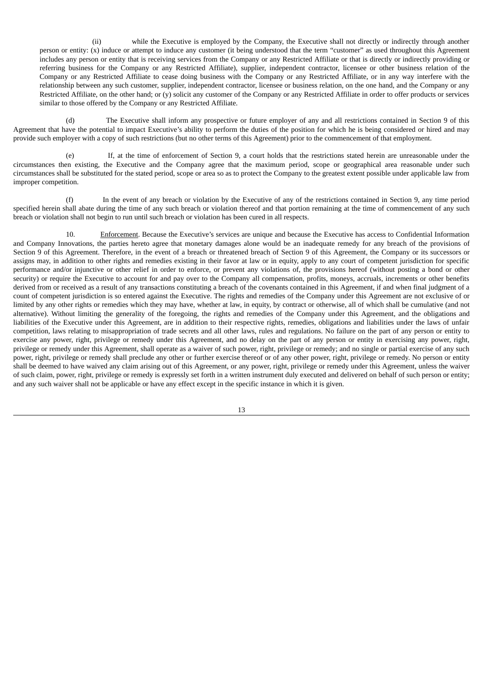(ii) while the Executive is employed by the Company, the Executive shall not directly or indirectly through another person or entity: (x) induce or attempt to induce any customer (it being understood that the term "customer" as used throughout this Agreement includes any person or entity that is receiving services from the Company or any Restricted Affiliate or that is directly or indirectly providing or referring business for the Company or any Restricted Affiliate), supplier, independent contractor, licensee or other business relation of the Company or any Restricted Affiliate to cease doing business with the Company or any Restricted Affiliate, or in any way interfere with the relationship between any such customer, supplier, independent contractor, licensee or business relation, on the one hand, and the Company or any Restricted Affiliate, on the other hand; or (y) solicit any customer of the Company or any Restricted Affiliate in order to offer products or services similar to those offered by the Company or any Restricted Affiliate.

(d) The Executive shall inform any prospective or future employer of any and all restrictions contained in Section 9 of this Agreement that have the potential to impact Executive's ability to perform the duties of the position for which he is being considered or hired and may provide such employer with a copy of such restrictions (but no other terms of this Agreement) prior to the commencement of that employment.

(e) If, at the time of enforcement of Section 9, a court holds that the restrictions stated herein are unreasonable under the circumstances then existing, the Executive and the Company agree that the maximum period, scope or geographical area reasonable under such circumstances shall be substituted for the stated period, scope or area so as to protect the Company to the greatest extent possible under applicable law from improper competition.

(f) In the event of any breach or violation by the Executive of any of the restrictions contained in Section 9, any time period specified herein shall abate during the time of any such breach or violation thereof and that portion remaining at the time of commencement of any such breach or violation shall not begin to run until such breach or violation has been cured in all respects.

10. Enforcement. Because the Executive's services are unique and because the Executive has access to Confidential Information and Company Innovations, the parties hereto agree that monetary damages alone would be an inadequate remedy for any breach of the provisions of Section 9 of this Agreement. Therefore, in the event of a breach or threatened breach of Section 9 of this Agreement, the Company or its successors or assigns may, in addition to other rights and remedies existing in their favor at law or in equity, apply to any court of competent jurisdiction for specific performance and/or injunctive or other relief in order to enforce, or prevent any violations of, the provisions hereof (without posting a bond or other security) or require the Executive to account for and pay over to the Company all compensation, profits, moneys, accruals, increments or other benefits derived from or received as a result of any transactions constituting a breach of the covenants contained in this Agreement, if and when final judgment of a count of competent jurisdiction is so entered against the Executive. The rights and remedies of the Company under this Agreement are not exclusive of or limited by any other rights or remedies which they may have, whether at law, in equity, by contract or otherwise, all of which shall be cumulative (and not alternative). Without limiting the generality of the foregoing, the rights and remedies of the Company under this Agreement, and the obligations and liabilities of the Executive under this Agreement, are in addition to their respective rights, remedies, obligations and liabilities under the laws of unfair competition, laws relating to misappropriation of trade secrets and all other laws, rules and regulations. No failure on the part of any person or entity to exercise any power, right, privilege or remedy under this Agreement, and no delay on the part of any person or entity in exercising any power, right, privilege or remedy under this Agreement, shall operate as a waiver of such power, right, privilege or remedy; and no single or partial exercise of any such power, right, privilege or remedy shall preclude any other or further exercise thereof or of any other power, right, privilege or remedy. No person or entity shall be deemed to have waived any claim arising out of this Agreement, or any power, right, privilege or remedy under this Agreement, unless the waiver of such claim, power, right, privilege or remedy is expressly set forth in a written instrument duly executed and delivered on behalf of such person or entity; and any such waiver shall not be applicable or have any effect except in the specific instance in which it is given.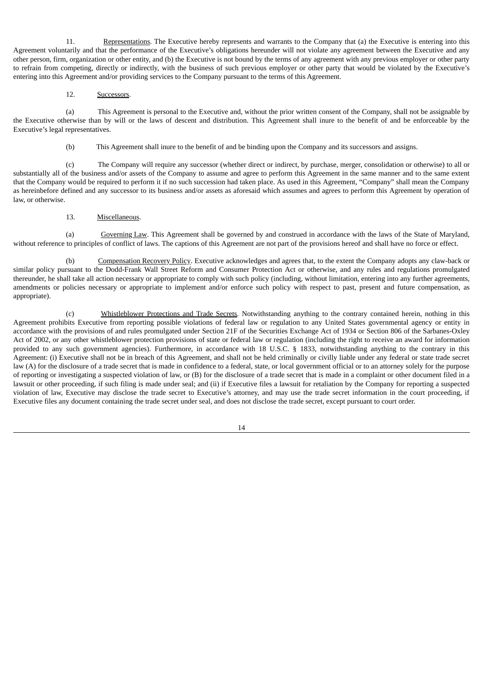11. Representations. The Executive hereby represents and warrants to the Company that (a) the Executive is entering into this Agreement voluntarily and that the performance of the Executive's obligations hereunder will not violate any agreement between the Executive and any other person, firm, organization or other entity, and (b) the Executive is not bound by the terms of any agreement with any previous employer or other party to refrain from competing, directly or indirectly, with the business of such previous employer or other party that would be violated by the Executive's entering into this Agreement and/or providing services to the Company pursuant to the terms of this Agreement.

12. Successors.

(a) This Agreement is personal to the Executive and, without the prior written consent of the Company, shall not be assignable by the Executive otherwise than by will or the laws of descent and distribution. This Agreement shall inure to the benefit of and be enforceable by the Executive's legal representatives.

(b) This Agreement shall inure to the benefit of and be binding upon the Company and its successors and assigns.

(c) The Company will require any successor (whether direct or indirect, by purchase, merger, consolidation or otherwise) to all or substantially all of the business and/or assets of the Company to assume and agree to perform this Agreement in the same manner and to the same extent that the Company would be required to perform it if no such succession had taken place. As used in this Agreement, "Company" shall mean the Company as hereinbefore defined and any successor to its business and/or assets as aforesaid which assumes and agrees to perform this Agreement by operation of law, or otherwise.

13. Miscellaneous.

(a) Governing Law. This Agreement shall be governed by and construed in accordance with the laws of the State of Maryland, without reference to principles of conflict of laws. The captions of this Agreement are not part of the provisions hereof and shall have no force or effect.

(b) Compensation Recovery Policy. Executive acknowledges and agrees that, to the extent the Company adopts any claw-back or similar policy pursuant to the Dodd-Frank Wall Street Reform and Consumer Protection Act or otherwise, and any rules and regulations promulgated thereunder, he shall take all action necessary or appropriate to comply with such policy (including, without limitation, entering into any further agreements, amendments or policies necessary or appropriate to implement and/or enforce such policy with respect to past, present and future compensation, as appropriate).

(c) Whistleblower Protections and Trade Secrets. Notwithstanding anything to the contrary contained herein, nothing in this Agreement prohibits Executive from reporting possible violations of federal law or regulation to any United States governmental agency or entity in accordance with the provisions of and rules promulgated under Section 21F of the Securities Exchange Act of 1934 or Section 806 of the Sarbanes-Oxley Act of 2002, or any other whistleblower protection provisions of state or federal law or regulation (including the right to receive an award for information provided to any such government agencies). Furthermore, in accordance with 18 U.S.C. § 1833, notwithstanding anything to the contrary in this Agreement: (i) Executive shall not be in breach of this Agreement, and shall not be held criminally or civilly liable under any federal or state trade secret law (A) for the disclosure of a trade secret that is made in confidence to a federal, state, or local government official or to an attorney solely for the purpose of reporting or investigating a suspected violation of law, or (B) for the disclosure of a trade secret that is made in a complaint or other document filed in a lawsuit or other proceeding, if such filing is made under seal; and (ii) if Executive files a lawsuit for retaliation by the Company for reporting a suspected violation of law, Executive may disclose the trade secret to Executive's attorney, and may use the trade secret information in the court proceeding, if Executive files any document containing the trade secret under seal, and does not disclose the trade secret, except pursuant to court order.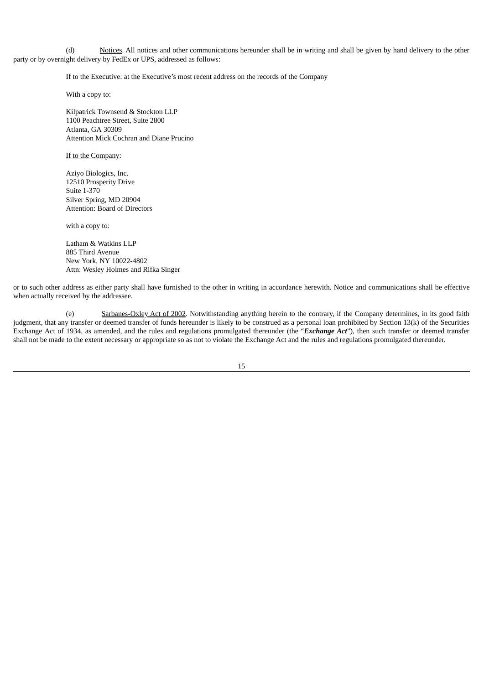(d) Notices. All notices and other communications hereunder shall be in writing and shall be given by hand delivery to the other party or by overnight delivery by FedEx or UPS, addressed as follows:

If to the Executive: at the Executive's most recent address on the records of the Company

With a copy to:

Kilpatrick Townsend & Stockton LLP 1100 Peachtree Street, Suite 2800 Atlanta, GA 30309 Attention Mick Cochran and Diane Prucino

If to the Company:

Aziyo Biologics, Inc. 12510 Prosperity Drive Suite 1-370 Silver Spring, MD 20904 Attention: Board of Directors

with a copy to:

Latham & Watkins LLP 885 Third Avenue New York, NY 10022-4802 Attn: Wesley Holmes and Rifka Singer

or to such other address as either party shall have furnished to the other in writing in accordance herewith. Notice and communications shall be effective when actually received by the addressee.

(e) Sarbanes-Oxley Act of 2002. Notwithstanding anything herein to the contrary, if the Company determines, in its good faith judgment, that any transfer or deemed transfer of funds hereunder is likely to be construed as a personal loan prohibited by Section 13(k) of the Securities Exchange Act of 1934, as amended, and the rules and regulations promulgated thereunder (the "*Exchange Act*"), then such transfer or deemed transfer shall not be made to the extent necessary or appropriate so as not to violate the Exchange Act and the rules and regulations promulgated thereunder.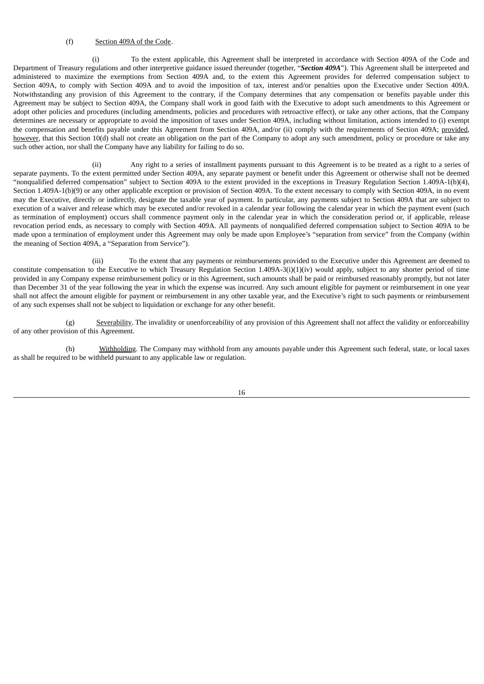# (f) Section 409A of the Code.

(i) To the extent applicable, this Agreement shall be interpreted in accordance with Section 409A of the Code and Department of Treasury regulations and other interpretive guidance issued thereunder (together, "*Section 409A*"). This Agreement shall be interpreted and administered to maximize the exemptions from Section 409A and, to the extent this Agreement provides for deferred compensation subject to Section 409A, to comply with Section 409A and to avoid the imposition of tax, interest and/or penalties upon the Executive under Section 409A. Notwithstanding any provision of this Agreement to the contrary, if the Company determines that any compensation or benefits payable under this Agreement may be subject to Section 409A, the Company shall work in good faith with the Executive to adopt such amendments to this Agreement or adopt other policies and procedures (including amendments, policies and procedures with retroactive effect), or take any other actions, that the Company determines are necessary or appropriate to avoid the imposition of taxes under Section 409A, including without limitation, actions intended to (i) exempt the compensation and benefits payable under this Agreement from Section 409A, and/or (ii) comply with the requirements of Section 409A; provided*,* however, that this Section 10(d) shall not create an obligation on the part of the Company to adopt any such amendment, policy or procedure or take any such other action, nor shall the Company have any liability for failing to do so.

(ii) Any right to a series of installment payments pursuant to this Agreement is to be treated as a right to a series of separate payments. To the extent permitted under Section 409A, any separate payment or benefit under this Agreement or otherwise shall not be deemed "nonqualified deferred compensation" subject to Section 409A to the extent provided in the exceptions in Treasury Regulation Section 1.409A-1(b)(4), Section 1.409A-1(b)(9) or any other applicable exception or provision of Section 409A. To the extent necessary to comply with Section 409A, in no event may the Executive, directly or indirectly, designate the taxable year of payment. In particular, any payments subject to Section 409A that are subject to execution of a waiver and release which may be executed and/or revoked in a calendar year following the calendar year in which the payment event (such as termination of employment) occurs shall commence payment only in the calendar year in which the consideration period or, if applicable, release revocation period ends, as necessary to comply with Section 409A. All payments of nonqualified deferred compensation subject to Section 409A to be made upon a termination of employment under this Agreement may only be made upon Employee's "separation from service" from the Company (within the meaning of Section 409A, a "Separation from Service").

(iii) To the extent that any payments or reimbursements provided to the Executive under this Agreement are deemed to constitute compensation to the Executive to which Treasury Regulation Section 1.409A-3(i)(1)(iv) would apply, subject to any shorter period of time provided in any Company expense reimbursement policy or in this Agreement, such amounts shall be paid or reimbursed reasonably promptly, but not later than December 31 of the year following the year in which the expense was incurred. Any such amount eligible for payment or reimbursement in one year shall not affect the amount eligible for payment or reimbursement in any other taxable year, and the Executive's right to such payments or reimbursement of any such expenses shall not be subject to liquidation or exchange for any other benefit.

(g) Severability. The invalidity or unenforceability of any provision of this Agreement shall not affect the validity or enforceability of any other provision of this Agreement.

(h) Withholding. The Company may withhold from any amounts payable under this Agreement such federal, state, or local taxes as shall be required to be withheld pursuant to any applicable law or regulation.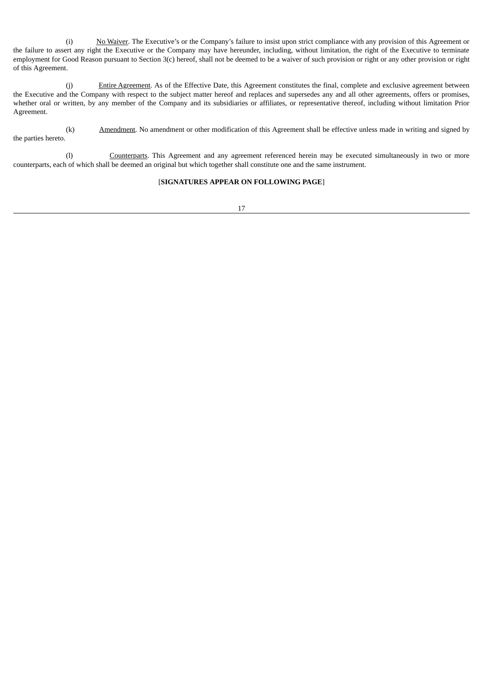(i) No Waiver. The Executive's or the Company's failure to insist upon strict compliance with any provision of this Agreement or the failure to assert any right the Executive or the Company may have hereunder, including, without limitation, the right of the Executive to terminate employment for Good Reason pursuant to Section 3(c) hereof, shall not be deemed to be a waiver of such provision or right or any other provision or right of this Agreement.

(j) Entire Agreement. As of the Effective Date, this Agreement constitutes the final, complete and exclusive agreement between the Executive and the Company with respect to the subject matter hereof and replaces and supersedes any and all other agreements, offers or promises, whether oral or written, by any member of the Company and its subsidiaries or affiliates, or representative thereof, including without limitation Prior Agreement.

(k) Amendment. No amendment or other modification of this Agreement shall be effective unless made in writing and signed by the parties hereto.

(l) Counterparts. This Agreement and any agreement referenced herein may be executed simultaneously in two or more counterparts, each of which shall be deemed an original but which together shall constitute one and the same instrument.

# [**SIGNATURES APPEAR ON FOLLOWING PAGE**]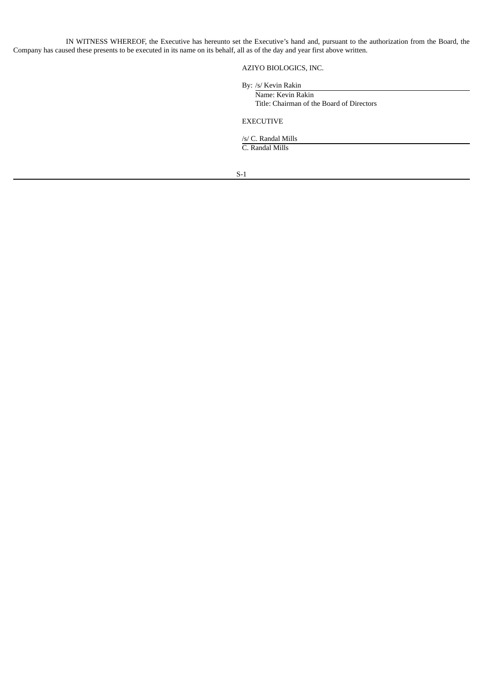IN WITNESS WHEREOF, the Executive has hereunto set the Executive's hand and, pursuant to the authorization from the Board, the Company has caused these presents to be executed in its name on its behalf, all as of the day and year first above written.

AZIYO BIOLOGICS, INC.

By: /s/ Kevin Rakin

Name: Kevin Rakin Title: Chairman of the Board of Directors

EXECUTIVE

/s/ C. Randal Mills

C. Randal Mills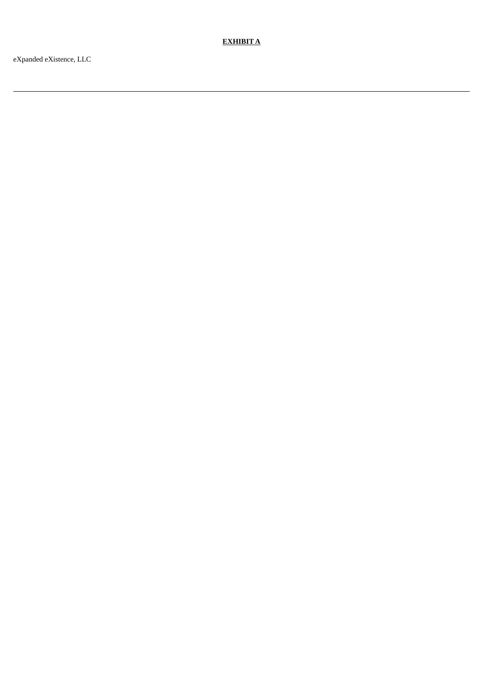**E X H I B I T A**

eXpanded eXistence, LLC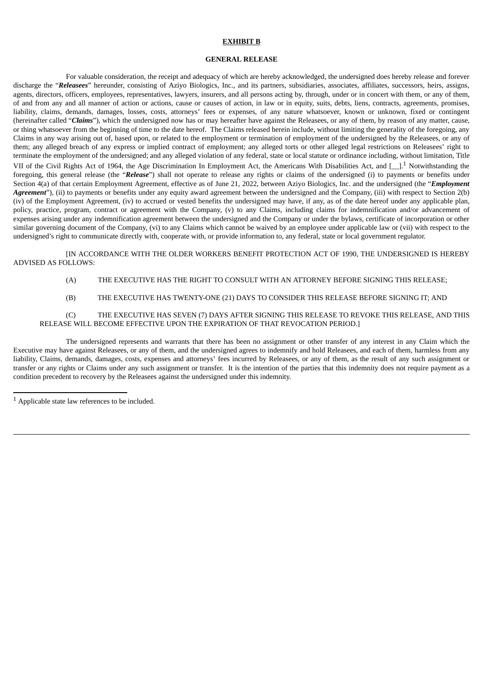### **EXHIBIT B**

#### **GENERAL RELEASE**

For valuable consideration, the receipt and adequacy of which are hereby acknowledged, the undersigned does hereby release and forever discharge the "*Releasees*" hereunder, consisting of Aziyo Biologics, Inc., and its partners, subsidiaries, associates, affiliates, successors, heirs, assigns, agents, directors, officers, employees, representatives, lawyers, insurers, and all persons acting by, through, under or in concert with them, or any of them, of and from any and all manner of action or actions, cause or causes of action, in law or in equity, suits, debts, liens, contracts, agreements, promises, liability, claims, demands, damages, losses, costs, attorneys' fees or expenses, of any nature whatsoever, known or unknown, fixed or contingent (hereinafter called "*Claims*"), which the undersigned now has or may hereafter have against the Releasees, or any of them, by reason of any matter, cause, or thing whatsoever from the beginning of time to the date hereof. The Claims released herein include, without limiting the generality of the foregoing, any Claims in any way arising out of, based upon, or related to the employment or termination of employment of the undersigned by the Releasees, or any of them; any alleged breach of any express or implied contract of employment; any alleged torts or other alleged legal restrictions on Releasees' right to terminate the employment of the undersigned; and any alleged violation of any federal, state or local statute or ordinance including, without limitation, Title VII of the Civil Rights Act of 1964, the Age Discrimination In Employment Act, the Americans With Disabilities Act, and  $[\_]$ .<sup>1</sup> Notwithstanding the foregoing, this general release (the "*Release*") shall not operate to release any rights or claims of the undersigned (i) to payments or benefits under Section 4(a) of that certain Employment Agreement, effective as of June 21, 2022, between Aziyo Biologics, Inc. and the undersigned (the "*Employment Agreement*"), (ii) to payments or benefits under any equity award agreement between the undersigned and the Company, (iii) with respect to Section 2(b) (iv) of the Employment Agreement, (iv) to accrued or vested benefits the undersigned may have, if any, as of the date hereof under any applicable plan, policy, practice, program, contract or agreement with the Company, (v) to any Claims, including claims for indemnification and/or advancement of expenses arising under any indemnification agreement between the undersigned and the Company or under the bylaws, certificate of incorporation or other similar governing document of the Company, (vi) to any Claims which cannot be waived by an employee under applicable law or (vii) with respect to the undersigned's right to communicate directly with, cooperate with, or provide information to, any federal, state or local government regulator.

[IN ACCORDANCE WITH THE OLDER WORKERS BENEFIT PROTECTION ACT OF 1990, THE UNDERSIGNED IS HEREBY ADVISED AS FOLLOWS:

- (A) THE EXECUTIVE HAS THE RIGHT TO CONSULT WITH AN ATTORNEY BEFORE SIGNING THIS RELEASE;
- (B) THE EXECUTIVE HAS TWENTY-ONE (21) DAYS TO CONSIDER THIS RELEASE BEFORE SIGNING IT; AND

# (C) THE EXECUTIVE HAS SEVEN (7) DAYS AFTER SIGNING THIS RELEASE TO REVOKE THIS RELEASE, AND THIS RELEASE WILL BECOME EFFECTIVE UPON THE EXPIRATION OF THAT REVOCATION PERIOD.]

The undersigned represents and warrants that there has been no assignment or other transfer of any interest in any Claim which the Executive may have against Releasees, or any of them, and the undersigned agrees to indemnify and hold Releasees, and each of them, harmless from any liability, Claims, demands, damages, costs, expenses and attorneys' fees incurred by Releasees, or any of them, as the result of any such assignment or transfer or any rights or Claims under any such assignment or transfer. It is the intention of the parties that this indemnity does not require payment as a condition precedent to recovery by the Releasees against the undersigned under this indemnity.

 $<sup>1</sup>$  Applicable state law references to be included.</sup>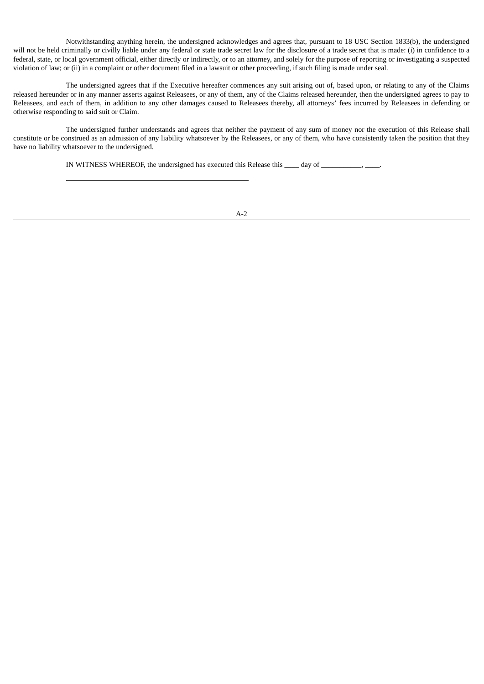Notwithstanding anything herein, the undersigned acknowledges and agrees that, pursuant to 18 USC Section 1833(b), the undersigned will not be held criminally or civilly liable under any federal or state trade secret law for the disclosure of a trade secret that is made: (i) in confidence to a federal, state, or local government official, either directly or indirectly, or to an attorney, and solely for the purpose of reporting or investigating a suspected violation of law; or (ii) in a complaint or other document filed in a lawsuit or other proceeding, if such filing is made under seal.

The undersigned agrees that if the Executive hereafter commences any suit arising out of, based upon, or relating to any of the Claims released hereunder or in any manner asserts against Releasees, or any of them, any of the Claims released hereunder, then the undersigned agrees to pay to Releasees, and each of them, in addition to any other damages caused to Releasees thereby, all attorneys' fees incurred by Releasees in defending or otherwise responding to said suit or Claim.

The undersigned further understands and agrees that neither the payment of any sum of money nor the execution of this Release shall constitute or be construed as an admission of any liability whatsoever by the Releasees, or any of them, who have consistently taken the position that they have no liability whatsoever to the undersigned.

IN WITNESS WHEREOF, the undersigned has executed this Release this \_\_\_\_ day of \_\_\_\_\_\_\_\_\_\_, \_\_\_\_\_,

A-2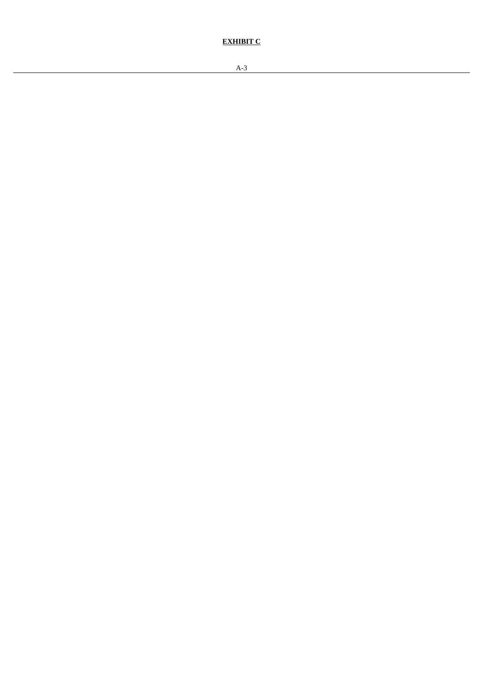**EXHIBIT C**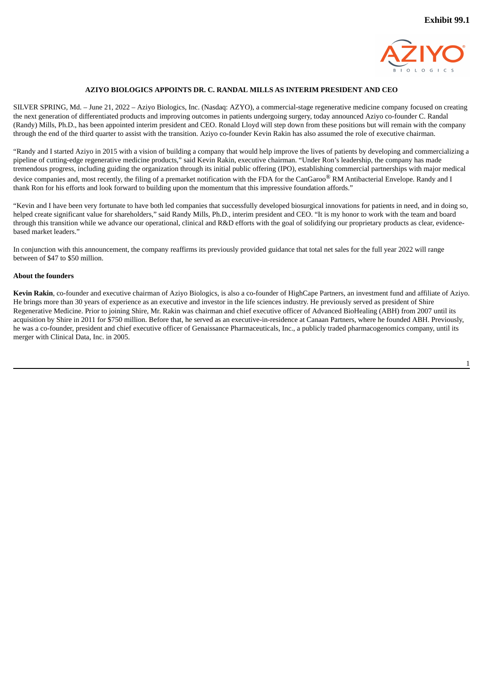

## **AZIYO BIOLOGICS APPOINTS DR. C. RANDAL MILLS AS INTERIM PRESIDENT AND CEO**

<span id="page-36-0"></span>SILVER SPRING, Md. – June 21, 2022 – Aziyo Biologics, Inc. (Nasdaq: AZYO), a commercial-stage regenerative medicine company focused on creating the next generation of differentiated products and improving outcomes in patients undergoing surgery, today announced Aziyo co-founder C. Randal (Randy) Mills, Ph.D., has been appointed interim president and CEO. Ronald Lloyd will step down from these positions but will remain with the company through the end of the third quarter to assist with the transition. Aziyo co-founder Kevin Rakin has also assumed the role of executive chairman.

"Randy and I started Aziyo in 2015 with a vision of building a company that would help improve the lives of patients by developing and commercializing a pipeline of cutting-edge regenerative medicine products," said Kevin Rakin, executive chairman. "Under Ron's leadership, the company has made tremendous progress, including guiding the organization through its initial public offering (IPO), establishing commercial partnerships with major medical device companies and, most recently, the filing of a premarket notification with the FDA for the CanGaroo® RM Antibacterial Envelope. Randy and I thank Ron for his efforts and look forward to building upon the momentum that this impressive foundation affords."

"Kevin and I have been very fortunate to have both led companies that successfully developed biosurgical innovations for patients in need, and in doing so, helped create significant value for shareholders," said Randy Mills, Ph.D., interim president and CEO. "It is my honor to work with the team and board through this transition while we advance our operational, clinical and R&D efforts with the goal of solidifying our proprietary products as clear, evidencebased market leaders."

In conjunction with this announcement, the company reaffirms its previously provided guidance that total net sales for the full year 2022 will range between of \$47 to \$50 million.

#### **About the founders**

**Kevin Rakin**, co-founder and executive chairman of Aziyo Biologics, is also a co-founder of HighCape Partners, an investment fund and affiliate of Aziyo. He brings more than 30 years of experience as an executive and investor in the life sciences industry. He previously served as president of Shire Regenerative Medicine. Prior to joining Shire, Mr. Rakin was chairman and chief executive officer of Advanced BioHealing (ABH) from 2007 until its acquisition by Shire in 2011 for \$750 million. Before that, he served as an executive-in-residence at Canaan Partners, where he founded ABH. Previously, he was a co-founder, president and chief executive officer of Genaissance Pharmaceuticals, Inc., a publicly traded pharmacogenomics company, until its merger with Clinical Data, Inc. in 2005.